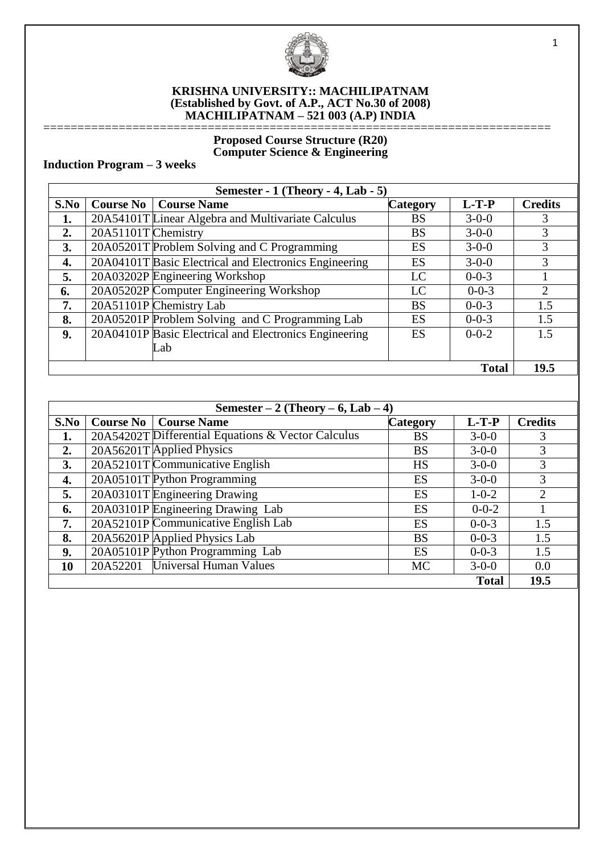

#### **KRISHNA UNIVERSITY:: MACHILIPATNAM (Established by Govt. of A.P., ACT No.30 of 2008) MACHILIPATNAM – 521 003 (A.P) INDIA**

#### ========================================================================== **Proposed Course Structure (R20) Computer Science & Engineering**

# **Induction Program – 3 weeks**

| Semester - $1$ (Theory - 4, Lab - 5) |                     |                                                        |                 |              |                |
|--------------------------------------|---------------------|--------------------------------------------------------|-----------------|--------------|----------------|
| S.No                                 | <b>Course No</b>    | <b>Course Name</b>                                     | <b>Category</b> | $L-T-P$      | <b>Credits</b> |
| 1.                                   |                     | 20A54101T Linear Algebra and Multivariate Calculus     | <b>BS</b>       | $3 - 0 - 0$  | 3              |
| 2.                                   | 20A51101T Chemistry |                                                        | <b>BS</b>       | $3 - 0 - 0$  | 3              |
| 3.                                   |                     | 20A05201T Problem Solving and C Programming            | ES              | $3 - 0 - 0$  | 3              |
| 4.                                   |                     | 20A04101T Basic Electrical and Electronics Engineering | ES              | $3 - 0 - 0$  | 3              |
| 5.                                   |                     | 20A03202P Engineering Workshop                         | LC              | $0 - 0 - 3$  |                |
| 6.                                   |                     | 20A05202P Computer Engineering Workshop                | LC              | $0 - 0 - 3$  | 2              |
| 7.                                   |                     | 20A51101P Chemistry Lab                                | <b>BS</b>       | $0 - 0 - 3$  | 1.5            |
| 8.                                   |                     | 20A05201P Problem Solving and C Programming Lab        | ES              | $0 - 0 - 3$  | 1.5            |
| 9.                                   |                     | 20A04101P Basic Electrical and Electronics Engineering | ES              | $0 - 0 - 2$  | 1.5            |
|                                      |                     | Lab                                                    |                 |              |                |
|                                      |                     |                                                        |                 | <b>Total</b> | 19.5           |

| Semester $-2$ (Theory $-6$ , Lab $-4$ ) |          |                                                    |                 |              |                |
|-----------------------------------------|----------|----------------------------------------------------|-----------------|--------------|----------------|
| S.No                                    |          | <b>Course No   Course Name</b>                     | <b>Category</b> | $L-T-P$      | <b>Credits</b> |
| 1.                                      |          | 20A54202T Differential Equations & Vector Calculus | BS              | $3 - 0 - 0$  | 3              |
| 2.                                      |          | 20A56201T Applied Physics                          | <b>BS</b>       | $3-0-0$      | 3              |
| 3.                                      |          | 20A52101T Communicative English                    | <b>HS</b>       | $3 - 0 - 0$  | 3              |
| 4.                                      |          | 20A05101T Python Programming                       | ES              | $3-0-0$      | 3              |
| 5.                                      |          | 20A03101T Engineering Drawing                      | ES              | $1 - 0 - 2$  | 2              |
| 6.                                      |          | 20A03101P Engineering Drawing Lab                  | ES              | $0 - 0 - 2$  |                |
| 7.                                      |          | 20A52101P Communicative English Lab                | ES              | $0 - 0 - 3$  | 1.5            |
| 8.                                      |          | 20A56201P Applied Physics Lab                      | <b>BS</b>       | $0 - 0 - 3$  | 1.5            |
| 9.                                      |          | 20A05101P Python Programming Lab                   | ES              | $0 - 0 - 3$  | 1.5            |
| 10                                      | 20A52201 | Universal Human Values                             | <b>MC</b>       | $3 - 0 - 0$  | 0.0            |
|                                         |          |                                                    |                 | <b>Total</b> | 19.5           |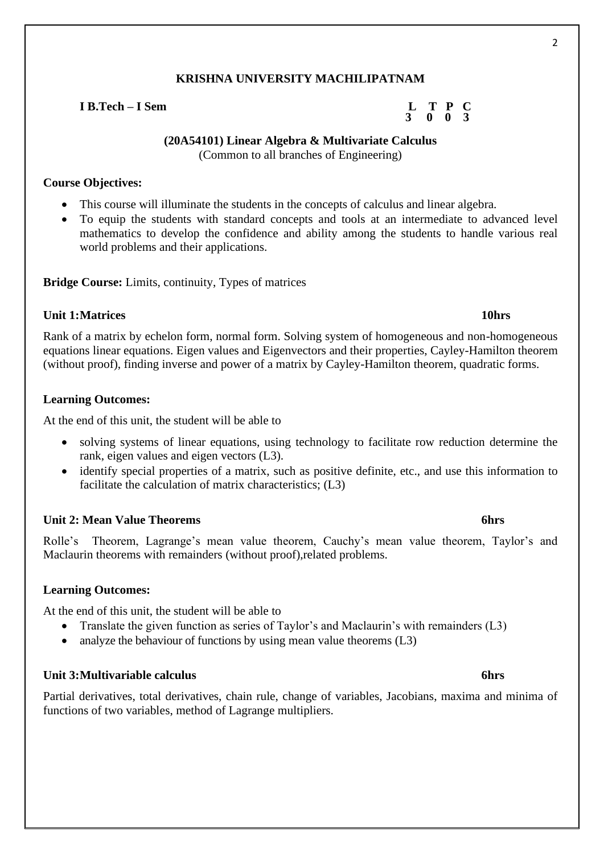### **I B.Tech – I Sem L T P C**

#### **(20A54101) Linear Algebra & Multivariate Calculus** (Common to all branches of Engineering)

#### **Course Objectives:**

- This course will illuminate the students in the concepts of calculus and linear algebra.
- To equip the students with standard concepts and tools at an intermediate to advanced level mathematics to develop the confidence and ability among the students to handle various real world problems and their applications.

**Bridge Course:** Limits, continuity, Types of matrices

#### **Unit 1:Matrices 10hrs**

Rank of a matrix by echelon form, normal form. Solving system of homogeneous and non-homogeneous equations linear equations. Eigen values and Eigenvectors and their properties, Cayley-Hamilton theorem (without proof), finding inverse and power of a matrix by Cayley-Hamilton theorem, quadratic forms.

### **Learning Outcomes:**

At the end of this unit, the student will be able to

- solving systems of linear equations, using technology to facilitate row reduction determine the rank, eigen values and eigen vectors (L3).
- identify special properties of a matrix, such as positive definite, etc., and use this information to facilitate the calculation of matrix characteristics; (L3)

# **Unit 2: Mean Value Theorems 6hrs**

Rolle's Theorem, Lagrange's mean value theorem, Cauchy's mean value theorem, Taylor's and Maclaurin theorems with remainders (without proof),related problems.

# **Learning Outcomes:**

At the end of this unit, the student will be able to

- Translate the given function as series of Taylor's and Maclaurin's with remainders (L3)
- analyze the behaviour of functions by using mean value theorems (L3)

#### **Unit 3:Multivariable calculus 6hrs**

Partial derivatives, total derivatives, chain rule, change of variables, Jacobians, maxima and minima of functions of two variables, method of Lagrange multipliers.

 **3 0 0 3**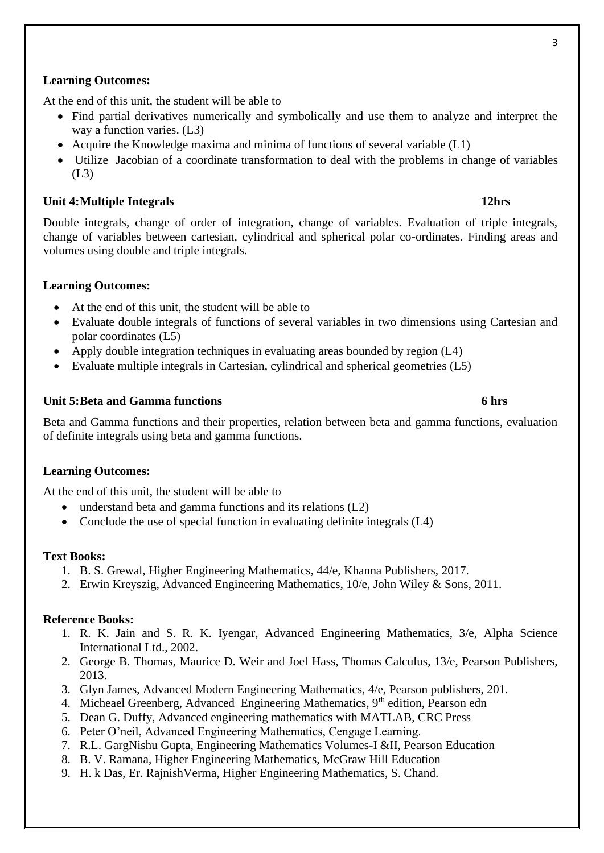#### **Learning Outcomes:**

At the end of this unit, the student will be able to

- Find partial derivatives numerically and symbolically and use them to analyze and interpret the way a function varies. (L3)
- Acquire the Knowledge maxima and minima of functions of several variable (L1)
- Utilize Jacobian of a coordinate transformation to deal with the problems in change of variables (L3)

#### **Unit 4:Multiple Integrals 12hrs**

Double integrals, change of order of integration, change of variables. Evaluation of triple integrals, change of variables between cartesian, cylindrical and spherical polar co-ordinates. Finding areas and volumes using double and triple integrals.

#### **Learning Outcomes:**

- At the end of this unit, the student will be able to
- Evaluate double integrals of functions of several variables in two dimensions using Cartesian and polar coordinates (L5)
- Apply double integration techniques in evaluating areas bounded by region (L4)
- Evaluate multiple integrals in Cartesian, cylindrical and spherical geometries (L5)

#### **Unit 5:Beta and Gamma functions 6 hrs**

Beta and Gamma functions and their properties, relation between beta and gamma functions, evaluation of definite integrals using beta and gamma functions.

#### **Learning Outcomes:**

At the end of this unit, the student will be able to

- understand beta and gamma functions and its relations (L2)
- Conclude the use of special function in evaluating definite integrals (L4)

#### **Text Books:**

- 1. B. S. Grewal, Higher Engineering Mathematics, 44/e, Khanna Publishers, 2017.
- 2. Erwin Kreyszig, Advanced Engineering Mathematics, 10/e, John Wiley & Sons, 2011.

#### **Reference Books:**

- 1. R. K. Jain and S. R. K. Iyengar, Advanced Engineering Mathematics, 3/e, Alpha Science International Ltd., 2002.
- 2. George B. Thomas, Maurice D. Weir and Joel Hass, Thomas Calculus, 13/e, Pearson Publishers, 2013.
- 3. Glyn James, Advanced Modern Engineering Mathematics, 4/e, Pearson publishers, 201.
- 4. Micheael Greenberg, Advanced Engineering Mathematics, 9<sup>th</sup> edition, Pearson edn
- 5. Dean G. Duffy, Advanced engineering mathematics with MATLAB, CRC Press
- 6. Peter O'neil, Advanced Engineering Mathematics, Cengage Learning.
- 7. R.L. GargNishu Gupta, Engineering Mathematics Volumes-I &II, Pearson Education
- 8. B. V. Ramana, Higher Engineering Mathematics, McGraw Hill Education
- 9. H. k Das, Er. RajnishVerma, Higher Engineering Mathematics, S. Chand.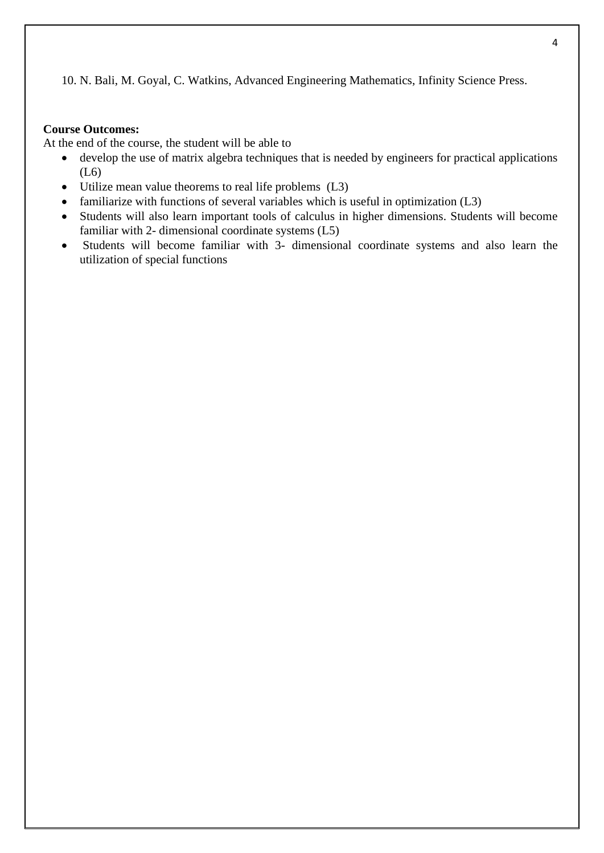10. N. Bali, M. Goyal, C. Watkins, Advanced Engineering Mathematics, Infinity Science Press.

# **Course Outcomes:**

At the end of the course, the student will be able to

- develop the use of matrix algebra techniques that is needed by engineers for practical applications (L6)
- Utilize mean value theorems to real life problems (L3)
- familiarize with functions of several variables which is useful in optimization (L3)
- Students will also learn important tools of calculus in higher dimensions. Students will become familiar with 2- dimensional coordinate systems (L5)
- Students will become familiar with 3- dimensional coordinate systems and also learn the utilization of special functions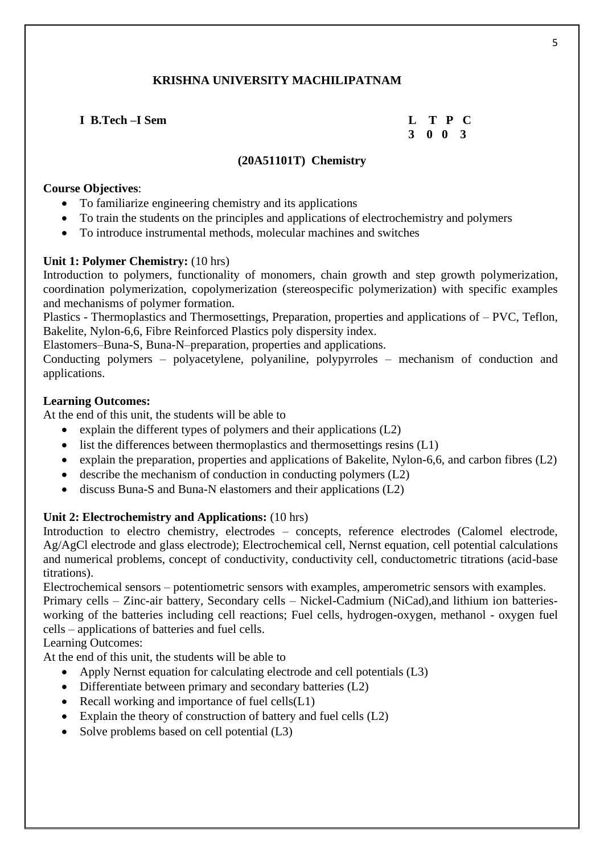**I B.Tech –I Sem L T P C**

 **3 0 0 3**

# **(20A51101T) Chemistry**

### **Course Objectives**:

- To familiarize engineering chemistry and its applications
- To train the students on the principles and applications of electrochemistry and polymers
- To introduce instrumental methods, molecular machines and switches

# **Unit 1: Polymer Chemistry:** (10 hrs)

Introduction to polymers, functionality of monomers, chain growth and step growth polymerization, coordination polymerization, copolymerization (stereospecific polymerization) with specific examples and mechanisms of polymer formation.

Plastics - Thermoplastics and Thermosettings, Preparation, properties and applications of – PVC, Teflon, Bakelite, Nylon-6,6, Fibre Reinforced Plastics poly dispersity index.

Elastomers–Buna-S, Buna-N–preparation, properties and applications.

Conducting polymers – polyacetylene, polyaniline, polypyrroles – mechanism of conduction and applications.

### **Learning Outcomes:**

At the end of this unit, the students will be able to

- explain the different types of polymers and their applications  $(L2)$
- list the differences between thermoplastics and thermosettings resins (L1)
- explain the preparation, properties and applications of Bakelite, Nylon-6,6, and carbon fibres (L2)
- describe the mechanism of conduction in conducting polymers  $(L2)$
- discuss Buna-S and Buna-N elastomers and their applications (L2)

# **Unit 2: Electrochemistry and Applications:** (10 hrs)

Introduction to electro chemistry, electrodes – concepts, reference electrodes (Calomel electrode, Ag/AgCl electrode and glass electrode); Electrochemical cell, Nernst equation, cell potential calculations and numerical problems, concept of conductivity, conductivity cell, conductometric titrations (acid-base titrations).

Electrochemical sensors – potentiometric sensors with examples, amperometric sensors with examples. Primary cells – Zinc-air battery, Secondary cells – Nickel-Cadmium (NiCad),and lithium ion batteriesworking of the batteries including cell reactions; Fuel cells, hydrogen-oxygen, methanol - oxygen fuel cells – applications of batteries and fuel cells.

Learning Outcomes:

At the end of this unit, the students will be able to

- Apply Nernst equation for calculating electrode and cell potentials (L3)
- Differentiate between primary and secondary batteries (L2)
- Recall working and importance of fuel cells(L1)
- Explain the theory of construction of battery and fuel cells  $(L2)$
- Solve problems based on cell potential  $(L3)$

5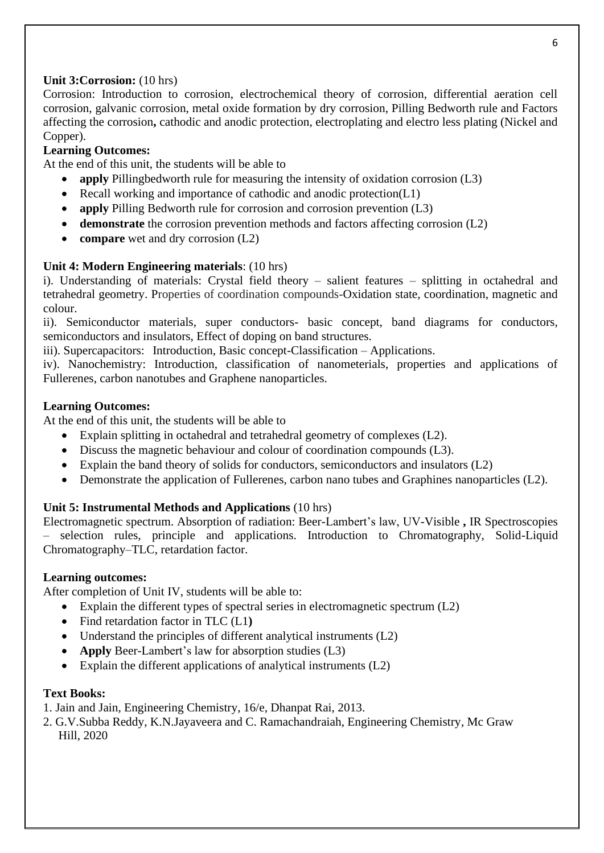# **Unit 3:Corrosion:** (10 hrs)

Corrosion: Introduction to corrosion, electrochemical theory of corrosion, differential aeration cell corrosion, galvanic corrosion, metal oxide formation by dry corrosion, Pilling Bedworth rule and Factors affecting the corrosion**,** cathodic and anodic protection, electroplating and electro less plating (Nickel and Copper).

# **Learning Outcomes:**

At the end of this unit, the students will be able to

- **apply** Pillingbedworth rule for measuring the intensity of oxidation corrosion (L3)
- Recall working and importance of cathodic and anodic protection(L1)
- **apply** Pilling Bedworth rule for corrosion and corrosion prevention (L3)
- **demonstrate** the corrosion prevention methods and factors affecting corrosion (L2)
- **compare** wet and dry corrosion (L2)

# **Unit 4: Modern Engineering materials**: (10 hrs)

i). Understanding of materials: Crystal field theory – salient features – splitting in octahedral and tetrahedral geometry. Properties of coordination compounds-Oxidation state, coordination, magnetic and colour.

ii). Semiconductor materials, super conductors- basic concept, band diagrams for conductors, semiconductors and insulators, Effect of doping on band structures.

iii). Supercapacitors: Introduction, Basic concept-Classification – Applications.

iv). Nanochemistry: Introduction, classification of nanometerials, properties and applications of Fullerenes, carbon nanotubes and Graphene nanoparticles.

# **Learning Outcomes:**

At the end of this unit, the students will be able to

- Explain splitting in octahedral and tetrahedral geometry of complexes (L2).
- Discuss the magnetic behaviour and colour of coordination compounds (L3).
- Explain the band theory of solids for conductors, semiconductors and insulators (L2)
- Demonstrate the application of Fullerenes, carbon nano tubes and Graphines nanoparticles (L2).

# **Unit 5: Instrumental Methods and Applications** (10 hrs)

Electromagnetic spectrum. Absorption of radiation: Beer-Lambert's law, UV-Visible **,** IR Spectroscopies – selection rules, principle and applications. Introduction to Chromatography, Solid-Liquid Chromatography–TLC, retardation factor.

# **Learning outcomes:**

After completion of Unit IV, students will be able to:

- Explain the different types of spectral series in electromagnetic spectrum (L2)
- Find retardation factor in TLC (L1**)**
- Understand the principles of different analytical instruments (L2)
- **Apply** Beer-Lambert's law for absorption studies (L3)
- Explain the different applications of analytical instruments (L2)

# **Text Books:**

1. Jain and Jain, Engineering Chemistry, 16/e, Dhanpat Rai, 2013.

2. G.V.Subba Reddy, K.N.Jayaveera and C. Ramachandraiah, Engineering Chemistry, Mc Graw Hill, 2020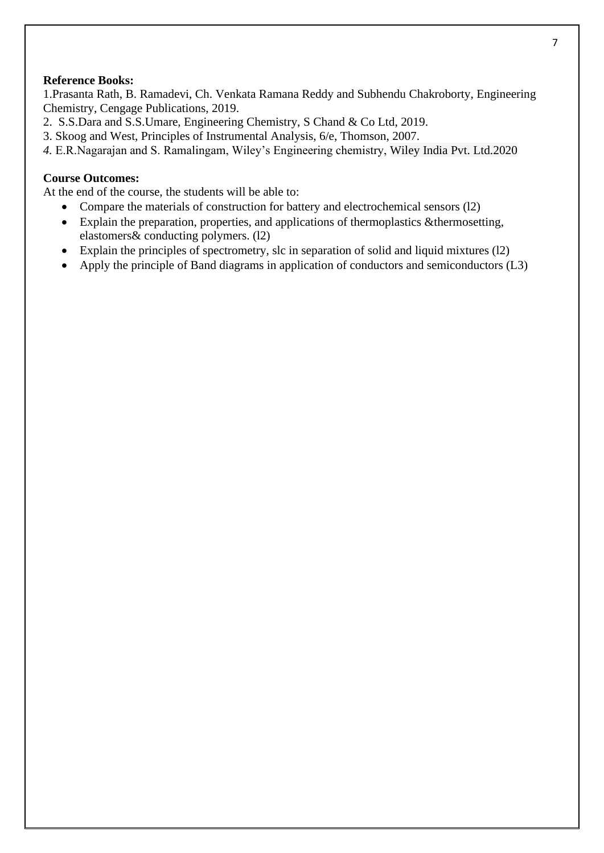#### **Reference Books:**

1.Prasanta Rath, B. Ramadevi, Ch. Venkata Ramana Reddy and Subhendu Chakroborty, Engineering Chemistry, Cengage Publications, 2019.

- 2. S.S.Dara and S.S.Umare, Engineering Chemistry, S Chand & Co Ltd, 2019.
- 3. Skoog and West, Principles of Instrumental Analysis, 6/e, Thomson, 2007.
- *4.* E.R.Nagarajan and S. Ramalingam, Wiley's Engineering chemistry, Wiley India Pvt. Ltd.2020

#### **Course Outcomes:**

At the end of the course, the students will be able to:

- Compare the materials of construction for battery and electrochemical sensors (12)
- Explain the preparation, properties, and applications of thermoplastics &thermosetting, elastomers& conducting polymers. (l2)
- Explain the principles of spectrometry, slc in separation of solid and liquid mixtures (12)
- Apply the principle of Band diagrams in application of conductors and semiconductors (L3)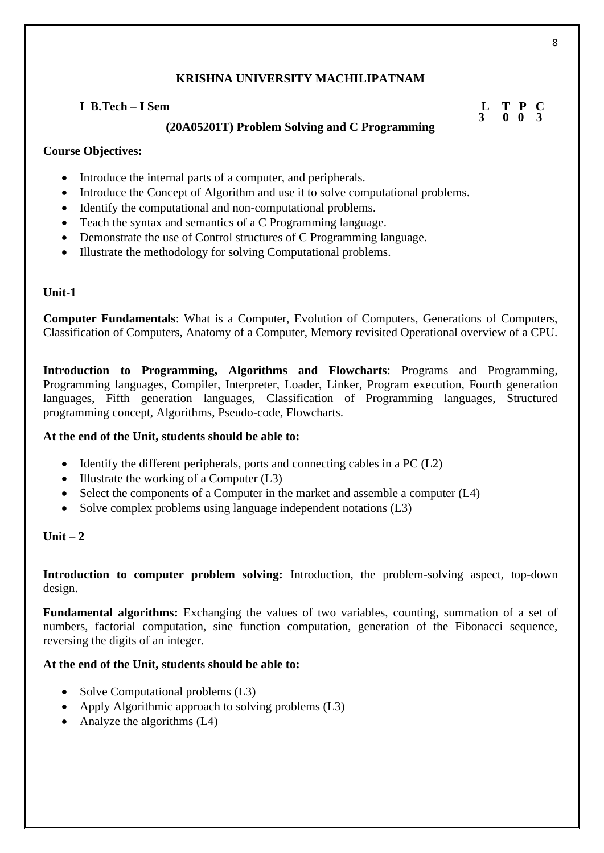# **I B.Tech – I Sem L T P C**

# **(20A05201T) Problem Solving and C Programming**

# **Course Objectives:**

- Introduce the internal parts of a computer, and peripherals.
- Introduce the Concept of Algorithm and use it to solve computational problems.
- Identify the computational and non-computational problems.
- Teach the syntax and semantics of a C Programming language.
- Demonstrate the use of Control structures of C Programming language.
- Illustrate the methodology for solving Computational problems.

# **Unit-1**

**Computer Fundamentals**: What is a Computer, Evolution of Computers, Generations of Computers, Classification of Computers, Anatomy of a Computer, Memory revisited Operational overview of a CPU.

**Introduction to Programming, Algorithms and Flowcharts**: Programs and Programming, Programming languages, Compiler, Interpreter, Loader, Linker, Program execution, Fourth generation languages, Fifth generation languages, Classification of Programming languages, Structured programming concept, Algorithms, Pseudo-code, Flowcharts.

# **At the end of the Unit, students should be able to:**

- Identify the different peripherals, ports and connecting cables in a PC (L2)
- Illustrate the working of a Computer (L3)
- Select the components of a Computer in the market and assemble a computer (L4)
- Solve complex problems using language independent notations (L3)

# $\textbf{Unit} = 2$

**Introduction to computer problem solving:** Introduction, the problem-solving aspect, top-down design.

**Fundamental algorithms:** Exchanging the values of two variables, counting, summation of a set of numbers, factorial computation, sine function computation, generation of the Fibonacci sequence, reversing the digits of an integer.

# **At the end of the Unit, students should be able to:**

- Solve Computational problems (L3)
- Apply Algorithmic approach to solving problems (L3)
- Analyze the algorithms (L4)

8

 **3 0 0 3**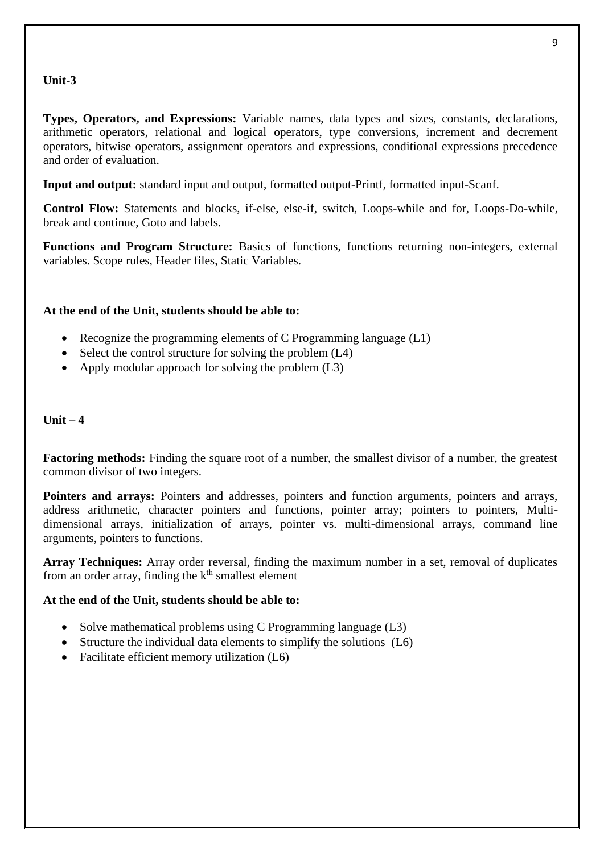# **Unit-3**

**Types, Operators, and Expressions:** Variable names, data types and sizes, constants, declarations, arithmetic operators, relational and logical operators, type conversions, increment and decrement operators, bitwise operators, assignment operators and expressions, conditional expressions precedence and order of evaluation.

**Input and output:** standard input and output, formatted output-Printf, formatted input-Scanf.

**Control Flow:** Statements and blocks, if-else, else-if, switch, Loops-while and for, Loops-Do-while, break and continue, Goto and labels.

**Functions and Program Structure:** Basics of functions, functions returning non-integers, external variables. Scope rules, Header files, Static Variables.

#### **At the end of the Unit, students should be able to:**

- Recognize the programming elements of C Programming language (L1)
- Select the control structure for solving the problem  $(L4)$
- Apply modular approach for solving the problem (L3)

### $\textbf{Unit} = 4$

**Factoring methods:** Finding the square root of a number, the smallest divisor of a number, the greatest common divisor of two integers.

**Pointers and arrays:** Pointers and addresses, pointers and function arguments, pointers and arrays, address arithmetic, character pointers and functions, pointer array; pointers to pointers, Multidimensional arrays, initialization of arrays, pointer vs. multi-dimensional arrays, command line arguments, pointers to functions.

**Array Techniques:** Array order reversal, finding the maximum number in a set, removal of duplicates from an order array, finding the  $k<sup>th</sup>$  smallest element

#### **At the end of the Unit, students should be able to:**

- Solve mathematical problems using C Programming language (L3)
- Structure the individual data elements to simplify the solutions (L6)
- Facilitate efficient memory utilization (L6)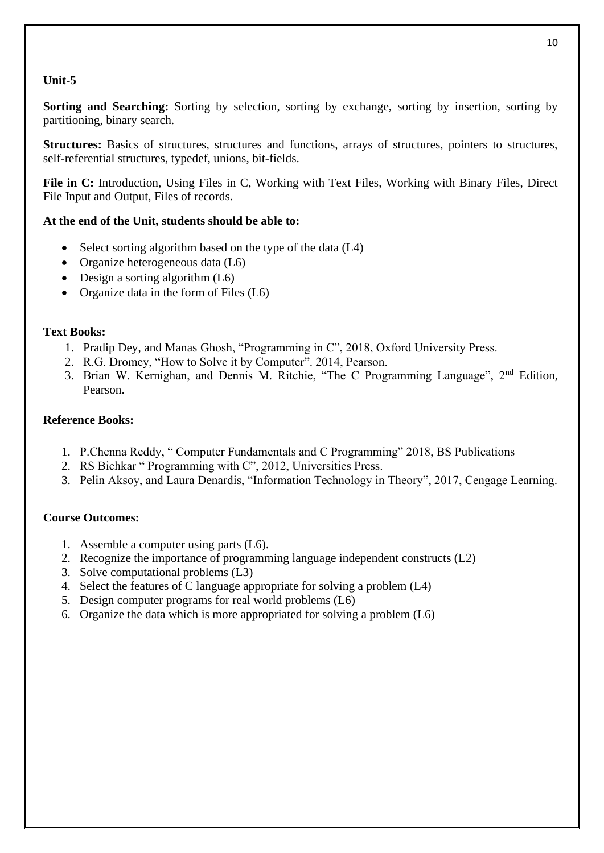# **Unit-5**

**Sorting and Searching:** Sorting by selection, sorting by exchange, sorting by insertion, sorting by partitioning, binary search.

**Structures:** Basics of structures, structures and functions, arrays of structures, pointers to structures, self-referential structures, typedef, unions, bit-fields.

**File in C:** Introduction, Using Files in C, Working with Text Files, Working with Binary Files, Direct File Input and Output, Files of records.

# **At the end of the Unit, students should be able to:**

- Select sorting algorithm based on the type of the data (L4)
- Organize heterogeneous data (L6)
- Design a sorting algorithm (L6)
- Organize data in the form of Files (L6)

#### **Text Books:**

- 1. Pradip Dey, and Manas Ghosh, "Programming in C", 2018, Oxford University Press.
- 2. R.G. Dromey, "How to Solve it by Computer". 2014, Pearson.
- 3. Brian W. Kernighan, and Dennis M. Ritchie, "The C Programming Language", 2nd Edition, Pearson.

#### **Reference Books:**

- 1. P.Chenna Reddy, " Computer Fundamentals and C Programming" 2018, BS Publications
- 2. RS Bichkar " Programming with C", 2012, Universities Press.
- 3. Pelin Aksoy, and Laura Denardis, "Information Technology in Theory", 2017, Cengage Learning.

#### **Course Outcomes:**

- 1. Assemble a computer using parts (L6).
- 2. Recognize the importance of programming language independent constructs (L2)
- 3. Solve computational problems (L3)
- 4. Select the features of C language appropriate for solving a problem (L4)
- 5. Design computer programs for real world problems (L6)
- 6. Organize the data which is more appropriated for solving a problem (L6)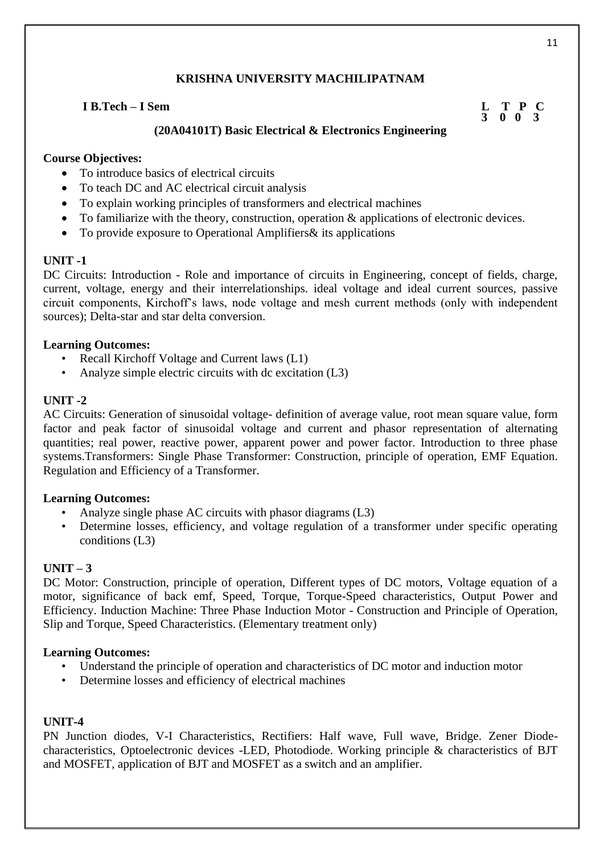# **I B.Tech – I Sem L T P C**

# **3 0 0 3**

# **(20A04101T) Basic Electrical & Electronics Engineering**

# **Course Objectives:**

- To introduce basics of electrical circuits
- To teach DC and AC electrical circuit analysis
- To explain working principles of transformers and electrical machines
- To familiarize with the theory, construction, operation & applications of electronic devices.
- To provide exposure to Operational Amplifiers & its applications

# **UNIT -1**

DC Circuits: Introduction - Role and importance of circuits in Engineering, concept of fields, charge, current, voltage, energy and their interrelationships. ideal voltage and ideal current sources, passive circuit components, Kirchoff's laws, node voltage and mesh current methods (only with independent sources); Delta-star and star delta conversion.

# **Learning Outcomes:**

- Recall Kirchoff Voltage and Current laws (L1)
- Analyze simple electric circuits with dc excitation (L3)

### **UNIT -2**

AC Circuits: Generation of sinusoidal voltage- definition of average value, root mean square value, form factor and peak factor of sinusoidal voltage and current and phasor representation of alternating quantities; real power, reactive power, apparent power and power factor. Introduction to three phase systems.Transformers: Single Phase Transformer: Construction, principle of operation, EMF Equation. Regulation and Efficiency of a Transformer.

# **Learning Outcomes:**

- Analyze single phase AC circuits with phasor diagrams (L3)
- Determine losses, efficiency, and voltage regulation of a transformer under specific operating conditions (L3)

# $UNIT - 3$

DC Motor: Construction, principle of operation, Different types of DC motors, Voltage equation of a motor, significance of back emf. Speed, Torque, Torque-Speed characteristics, Output Power and Efficiency. Induction Machine: Three Phase Induction Motor - Construction and Principle of Operation, Slip and Torque, Speed Characteristics. (Elementary treatment only)

# **Learning Outcomes:**

- Understand the principle of operation and characteristics of DC motor and induction motor
- Determine losses and efficiency of electrical machines

#### **UNIT-4**

PN Junction diodes, V-I Characteristics, Rectifiers: Half wave, Full wave, Bridge. Zener Diodecharacteristics, Optoelectronic devices -LED, Photodiode. Working principle & characteristics of BJT and MOSFET, application of BJT and MOSFET as a switch and an amplifier.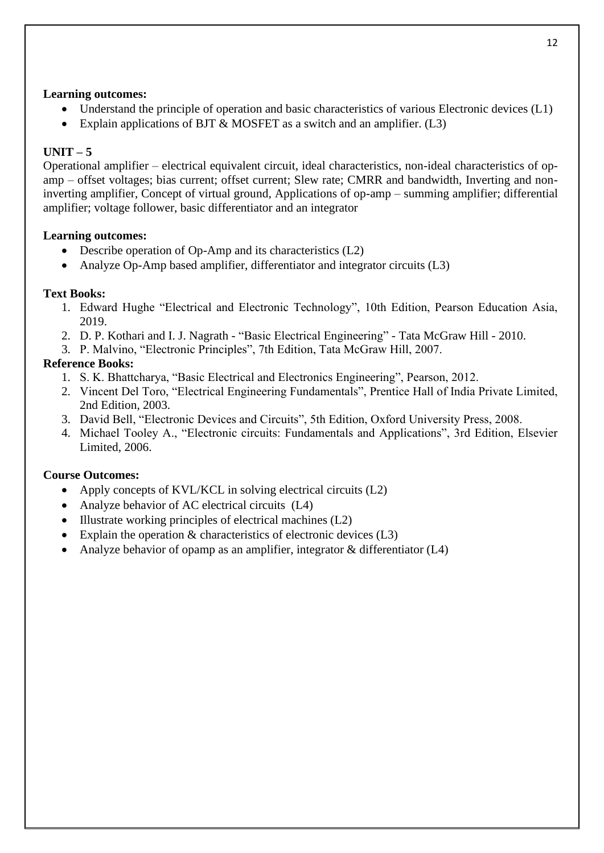#### **Learning outcomes:**

- Understand the principle of operation and basic characteristics of various Electronic devices (L1)
- Explain applications of BJT & MOSFET as a switch and an amplifier. (L3)

# $UNIT - 5$

Operational amplifier – electrical equivalent circuit, ideal characteristics, non-ideal characteristics of opamp – offset voltages; bias current; offset current; Slew rate; CMRR and bandwidth, Inverting and noninverting amplifier, Concept of virtual ground, Applications of op-amp – summing amplifier; differential amplifier; voltage follower, basic differentiator and an integrator

# **Learning outcomes:**

- Describe operation of Op-Amp and its characteristics (L2)
- Analyze Op-Amp based amplifier, differentiator and integrator circuits (L3)

# **Text Books:**

- 1. Edward Hughe "Electrical and Electronic Technology", 10th Edition, Pearson Education Asia, 2019.
- 2. D. P. Kothari and I. J. Nagrath "Basic Electrical Engineering" Tata McGraw Hill 2010.
- 3. P. Malvino, "Electronic Principles", 7th Edition, Tata McGraw Hill, 2007.

# **Reference Books:**

- 1. S. K. Bhattcharya, "Basic Electrical and Electronics Engineering", Pearson, 2012.
- 2. Vincent Del Toro, "Electrical Engineering Fundamentals", Prentice Hall of India Private Limited, 2nd Edition, 2003.
- 3. David Bell, "Electronic Devices and Circuits", 5th Edition, Oxford University Press, 2008.
- 4. Michael Tooley A., "Electronic circuits: Fundamentals and Applications", 3rd Edition, Elsevier Limited, 2006.

# **Course Outcomes:**

- Apply concepts of KVL/KCL in solving electrical circuits (L2)
- Analyze behavior of AC electrical circuits (L4)
- Illustrate working principles of electrical machines (L2)
- Explain the operation  $&$  characteristics of electronic devices (L3)
- Analyze behavior of opamp as an amplifier, integrator  $\&$  differentiator (L4)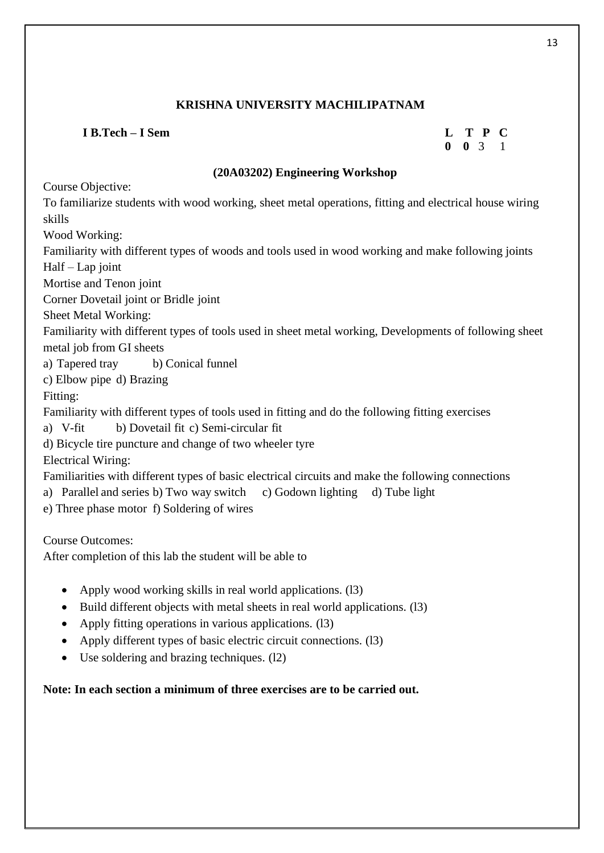# **I B.Tech – I Sem L T P C**

# **0 0** 3 1

# **(20A03202) Engineering Workshop**

Course Objective:

To familiarize students with wood working, sheet metal operations, fitting and electrical house wiring skills Wood Working:

Familiarity with different types of woods and tools used in wood working and make following joints Half – Lap joint

Mortise and Tenon joint

Corner Dovetail joint or Bridle joint

Sheet Metal Working:

Familiarity with different types of tools used in sheet metal working, Developments of following sheet metal job from GI sheets

a) Tapered tray b) Conical funnel

c) Elbow pipe d) Brazing

Fitting:

Familiarity with different types of tools used in fitting and do the following fitting exercises

a) V-fit b) Dovetail fit c) Semi-circular fit

d) Bicycle tire puncture and change of two wheeler tyre

Electrical Wiring:

Familiarities with different types of basic electrical circuits and make the following connections

a) Parallel and series b) Two way switch c) Godown lighting d) Tube light

e) Three phase motor f) Soldering of wires

Course Outcomes:

After completion of this lab the student will be able to

- Apply wood working skills in real world applications. (13)
- Build different objects with metal sheets in real world applications. (13)
- Apply fitting operations in various applications. (13)
- Apply different types of basic electric circuit connections. (13)
- Use soldering and brazing techniques. (12)

# **Note: In each section a minimum of three exercises are to be carried out.**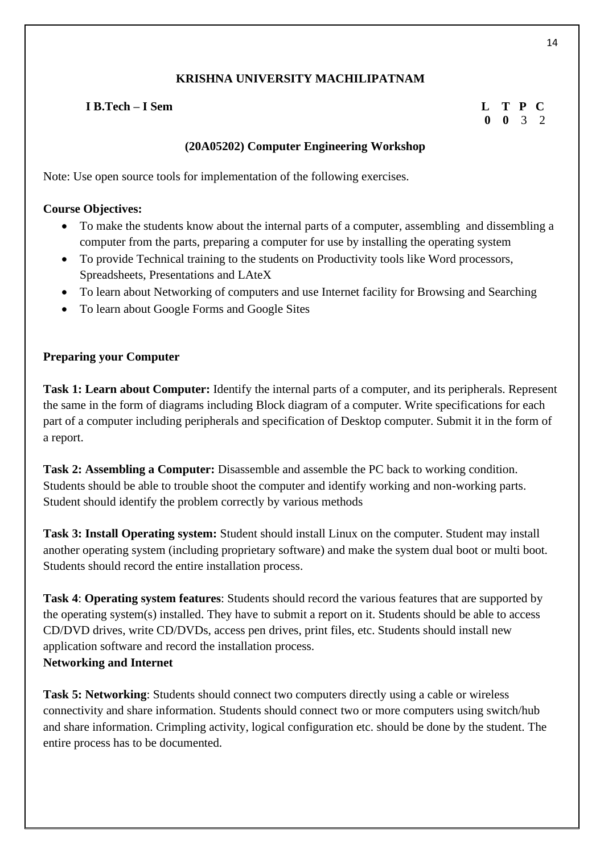# **I B.Tech – I Sem L T P C**

# **0 0** 3 2

# **(20A05202) Computer Engineering Workshop**

Note: Use open source tools for implementation of the following exercises.

# **Course Objectives:**

- To make the students know about the internal parts of a computer, assembling and dissembling a computer from the parts, preparing a computer for use by installing the operating system
- To provide Technical training to the students on Productivity tools like Word processors, Spreadsheets, Presentations and LAteX
- To learn about Networking of computers and use Internet facility for Browsing and Searching
- To learn about Google Forms and Google Sites

# **Preparing your Computer**

**Task 1: Learn about Computer:** Identify the internal parts of a computer, and its peripherals. Represent the same in the form of diagrams including Block diagram of a computer. Write specifications for each part of a computer including peripherals and specification of Desktop computer. Submit it in the form of a report.

**Task 2: Assembling a Computer:** Disassemble and assemble the PC back to working condition. Students should be able to trouble shoot the computer and identify working and non-working parts. Student should identify the problem correctly by various methods

**Task 3: Install Operating system:** Student should install Linux on the computer. Student may install another operating system (including proprietary software) and make the system dual boot or multi boot. Students should record the entire installation process.

**Task 4**: **Operating system features**: Students should record the various features that are supported by the operating system(s) installed. They have to submit a report on it. Students should be able to access CD/DVD drives, write CD/DVDs, access pen drives, print files, etc. Students should install new application software and record the installation process.

# **Networking and Internet**

**Task 5: Networking**: Students should connect two computers directly using a cable or wireless connectivity and share information. Students should connect two or more computers using switch/hub and share information. Crimpling activity, logical configuration etc. should be done by the student. The entire process has to be documented.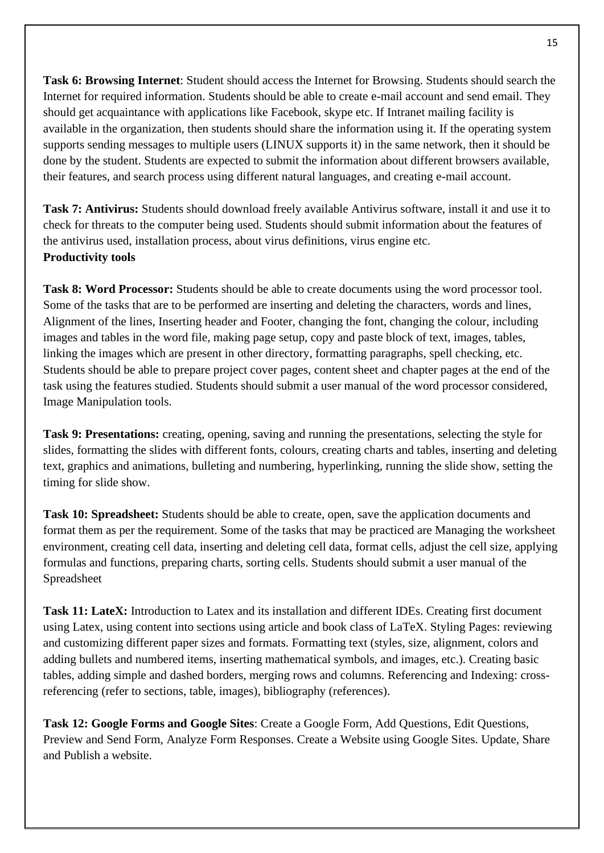**Task 6: Browsing Internet**: Student should access the Internet for Browsing. Students should search the Internet for required information. Students should be able to create e-mail account and send email. They should get acquaintance with applications like Facebook, skype etc. If Intranet mailing facility is available in the organization, then students should share the information using it. If the operating system supports sending messages to multiple users (LINUX supports it) in the same network, then it should be done by the student. Students are expected to submit the information about different browsers available, their features, and search process using different natural languages, and creating e-mail account.

**Task 7: Antivirus:** Students should download freely available Antivirus software, install it and use it to check for threats to the computer being used. Students should submit information about the features of the antivirus used, installation process, about virus definitions, virus engine etc. **Productivity tools** 

**Task 8: Word Processor:** Students should be able to create documents using the word processor tool. Some of the tasks that are to be performed are inserting and deleting the characters, words and lines, Alignment of the lines, Inserting header and Footer, changing the font, changing the colour, including images and tables in the word file, making page setup, copy and paste block of text, images, tables, linking the images which are present in other directory, formatting paragraphs, spell checking, etc. Students should be able to prepare project cover pages, content sheet and chapter pages at the end of the task using the features studied. Students should submit a user manual of the word processor considered, Image Manipulation tools.

**Task 9: Presentations:** creating, opening, saving and running the presentations, selecting the style for slides, formatting the slides with different fonts, colours, creating charts and tables, inserting and deleting text, graphics and animations, bulleting and numbering, hyperlinking, running the slide show, setting the timing for slide show.

**Task 10: Spreadsheet:** Students should be able to create, open, save the application documents and format them as per the requirement. Some of the tasks that may be practiced are Managing the worksheet environment, creating cell data, inserting and deleting cell data, format cells, adjust the cell size, applying formulas and functions, preparing charts, sorting cells. Students should submit a user manual of the Spreadsheet

**Task 11: LateX:** Introduction to Latex and its installation and different IDEs. Creating first document using Latex, using content into sections using article and book class of LaTeX. Styling Pages: reviewing and customizing different paper sizes and formats. Formatting text (styles, size, alignment, colors and adding bullets and numbered items, inserting mathematical symbols, and images, etc.). Creating basic tables, adding simple and dashed borders, merging rows and columns. Referencing and Indexing: crossreferencing (refer to sections, table, images), bibliography (references).

**Task 12: Google Forms and Google Sites**: Create a Google Form, Add Questions, Edit Questions, Preview and Send Form, Analyze Form Responses. Create a Website using Google Sites. Update, Share and Publish a website.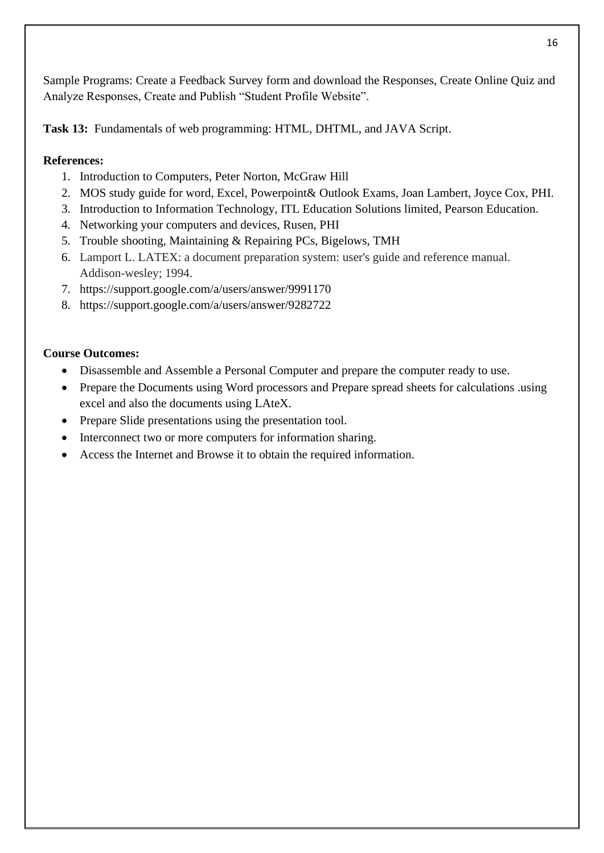Sample Programs: Create a Feedback Survey form and download the Responses, Create Online Quiz and Analyze Responses, Create and Publish "Student Profile Website".

**Task 13:** Fundamentals of web programming: HTML, DHTML, and JAVA Script.

# **References:**

- 1. Introduction to Computers, Peter Norton, McGraw Hill
- 2. MOS study guide for word, Excel, Powerpoint& Outlook Exams, Joan Lambert, Joyce Cox, PHI.
- 3. Introduction to Information Technology, ITL Education Solutions limited, Pearson Education.
- 4. Networking your computers and devices, Rusen, PHI
- 5. Trouble shooting, Maintaining & Repairing PCs, Bigelows, TMH
- 6. Lamport L. LATEX: a document preparation system: user's guide and reference manual. Addison-wesley; 1994.
- 7. <https://support.google.com/a/users/answer/9991170>
- 8. <https://support.google.com/a/users/answer/9282722>

# **Course Outcomes:**

- Disassemble and Assemble a Personal Computer and prepare the computer ready to use.
- Prepare the Documents using Word processors and Prepare spread sheets for calculations .using excel and also the documents using LAteX.
- Prepare Slide presentations using the presentation tool.
- Interconnect two or more computers for information sharing.
- Access the Internet and Browse it to obtain the required information.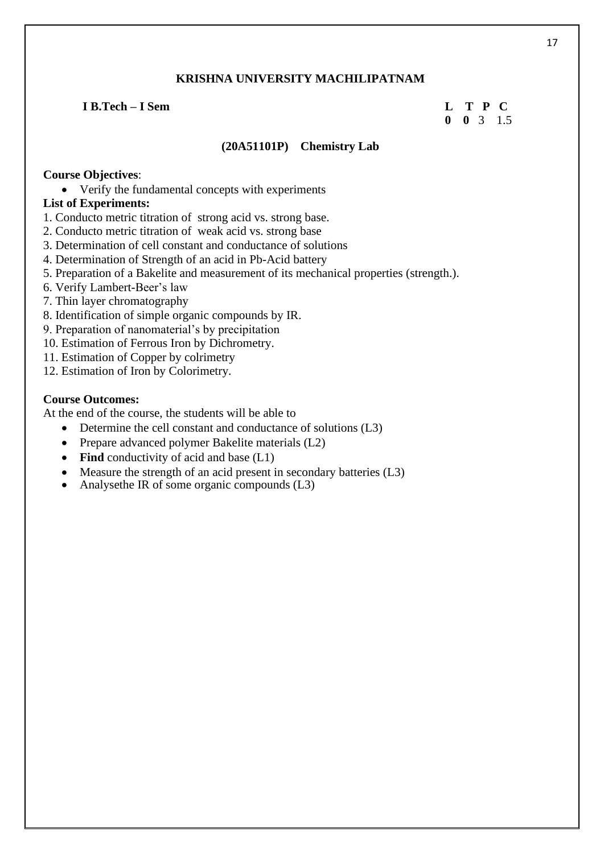### **I B.Tech – I Sem L T P C**

# **0 0** 3 1.5

#### **(20A51101P) Chemistry Lab**

# **Course Objectives**:

• Verify the fundamental concepts with experiments

# **List of Experiments:**

- 1. Conducto metric titration of strong acid vs. strong base.
- 2. Conducto metric titration of weak acid vs. strong base
- 3. Determination of cell constant and conductance of solutions
- 4. Determination of Strength of an acid in Pb-Acid battery
- 5. Preparation of a Bakelite and measurement of its mechanical properties (strength.).
- 6. Verify Lambert-Beer's law
- 7. Thin layer chromatography
- 8. Identification of simple organic compounds by IR.
- 9. Preparation of nanomaterial's by precipitation
- 10. Estimation of Ferrous Iron by Dichrometry.
- 11. Estimation of Copper by colrimetry
- 12. Estimation of Iron by Colorimetry.

#### **Course Outcomes:**

At the end of the course, the students will be able to

- Determine the cell constant and conductance of solutions (L3)
- Prepare advanced polymer Bakelite materials (L2)
- **Find** conductivity of acid and base (L1)
- Measure the strength of an acid present in secondary batteries (L3)
- Analysethe IR of some organic compounds (L3)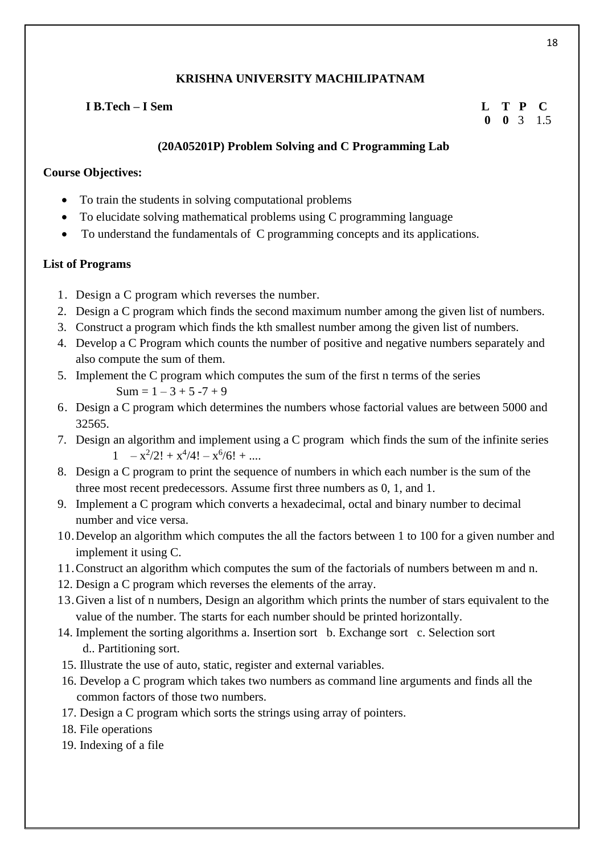# **I B.Tech – I Sem L T P C**

 **0 0** 3 1.5

# **(20A05201P) Problem Solving and C Programming Lab**

#### **Course Objectives:**

- To train the students in solving computational problems
- To elucidate solving mathematical problems using C programming language
- To understand the fundamentals of C programming concepts and its applications.

### **List of Programs**

- 1. Design a C program which reverses the number.
- 2. Design a C program which finds the second maximum number among the given list of numbers.
- 3. Construct a program which finds the kth smallest number among the given list of numbers.
- 4. Develop a C Program which counts the number of positive and negative numbers separately and also compute the sum of them.
- 5. Implement the C program which computes the sum of the first n terms of the series  $Sum = 1 - 3 + 5 - 7 + 9$
- 6. Design a C program which determines the numbers whose factorial values are between 5000 and 32565.
- 7. Design an algorithm and implement using a C program which finds the sum of the infinite series  $1 - x^2/2! + x^4/4! - x^6/6! + ...$
- 8. Design a C program to print the sequence of numbers in which each number is the sum of the three most recent predecessors. Assume first three numbers as 0, 1, and 1.
- 9. Implement a C program which converts a hexadecimal, octal and binary number to decimal number and vice versa.
- 10.Develop an algorithm which computes the all the factors between 1 to 100 for a given number and implement it using C.
- 11.Construct an algorithm which computes the sum of the factorials of numbers between m and n.
- 12. Design a C program which reverses the elements of the array.
- 13.Given a list of n numbers, Design an algorithm which prints the number of stars equivalent to the value of the number. The starts for each number should be printed horizontally.
- 14. Implement the sorting algorithms a. Insertion sort b. Exchange sort c. Selection sort d.. Partitioning sort.
- 15. Illustrate the use of auto, static, register and external variables.
- 16. Develop a C program which takes two numbers as command line arguments and finds all the common factors of those two numbers.
- 17. Design a C program which sorts the strings using array of pointers.
- 18. File operations
- 19. Indexing of a file

18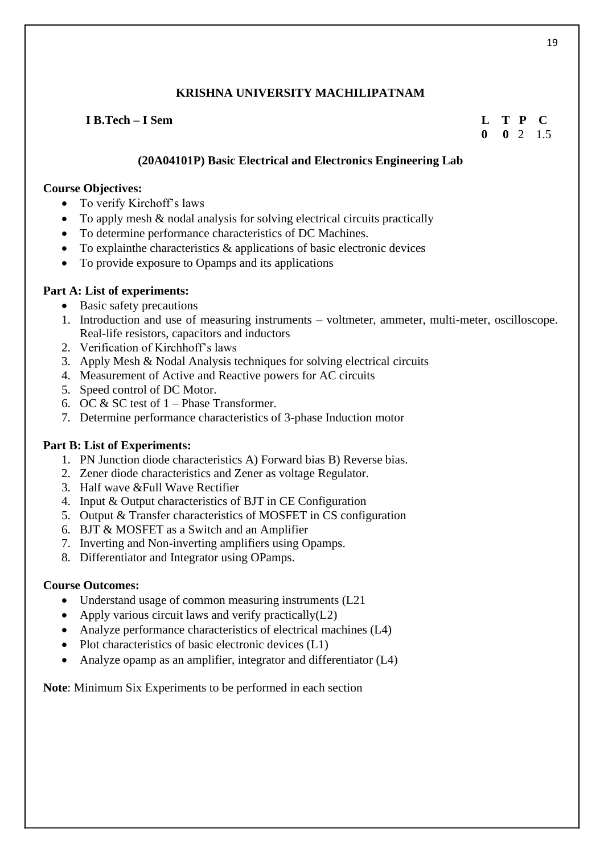# **I B.Tech – I Sem L T P C**

# **0 0** 2 1.5

# **(20A04101P) Basic Electrical and Electronics Engineering Lab**

### **Course Objectives:**

- To verify Kirchoff's laws
- To apply mesh & nodal analysis for solving electrical circuits practically
- To determine performance characteristics of DC Machines.
- To explain the characteristics  $\&$  applications of basic electronic devices
- To provide exposure to Opamps and its applications

### **Part A: List of experiments:**

- Basic safety precautions
- 1. Introduction and use of measuring instruments voltmeter, ammeter, multi-meter, oscilloscope. Real-life resistors, capacitors and inductors
- 2. Verification of Kirchhoff's laws
- 3. Apply Mesh & Nodal Analysis techniques for solving electrical circuits
- 4. Measurement of Active and Reactive powers for AC circuits
- 5. Speed control of DC Motor.
- 6. OC  $&SC$  test of  $1$  Phase Transformer.
- 7. Determine performance characteristics of 3-phase Induction motor

# **Part B: List of Experiments:**

- 1. PN Junction diode characteristics A) Forward bias B) Reverse bias.
- 2. Zener diode characteristics and Zener as voltage Regulator.
- 3. Half wave &Full Wave Rectifier
- 4. Input & Output characteristics of BJT in CE Configuration
- 5. Output & Transfer characteristics of MOSFET in CS configuration
- 6. BJT & MOSFET as a Switch and an Amplifier
- 7. Inverting and Non-inverting amplifiers using Opamps.
- 8. Differentiator and Integrator using OPamps.

#### **Course Outcomes:**

- Understand usage of common measuring instruments (L21)
- Apply various circuit laws and verify practically $(L2)$
- Analyze performance characteristics of electrical machines (L4)
- Plot characteristics of basic electronic devices (L1)
- Analyze opamp as an amplifier, integrator and differentiator (L4)

**Note**: Minimum Six Experiments to be performed in each section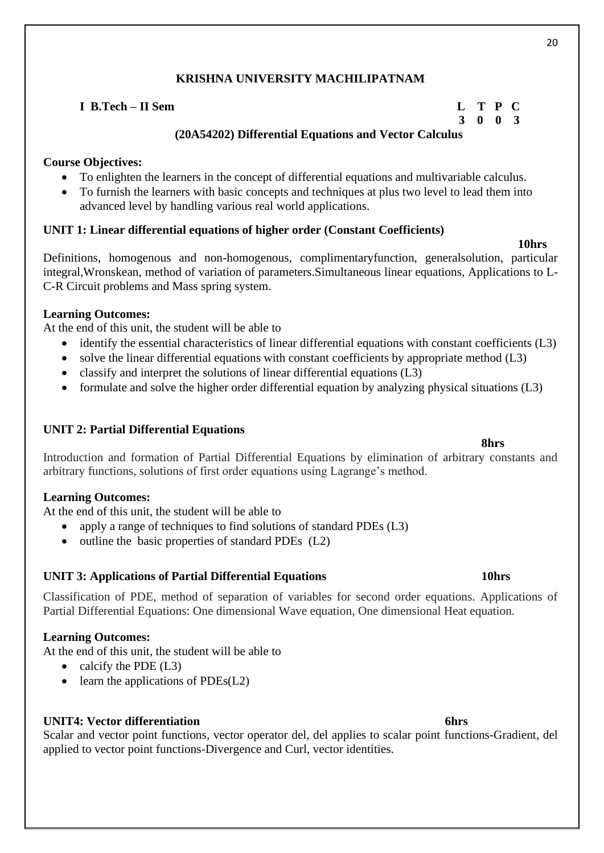**I B.Tech – II Sem L T P C 3 0 0 3 (20A54202) Differential Equations and Vector Calculus**

# **Course Objectives:**

- To enlighten the learners in the concept of differential equations and multivariable calculus.
- To furnish the learners with basic concepts and techniques at plus two level to lead them into advanced level by handling various real world applications.

# **UNIT 1: Linear differential equations of higher order (Constant Coefficients)**

Definitions, homogenous and non-homogenous, complimentaryfunction, generalsolution, particular integral,Wronskean, method of variation of parameters.Simultaneous linear equations, Applications to L-C-R Circuit problems and Mass spring system.

### **Learning Outcomes:**

At the end of this unit, the student will be able to

- identify the essential characteristics of linear differential equations with constant coefficients (L3)
- solve the linear differential equations with constant coefficients by appropriate method (L3)
- classify and interpret the solutions of linear differential equations (L3)
- formulate and solve the higher order differential equation by analyzing physical situations (L3)

# **UNIT 2: Partial Differential Equations**

Introduction and formation of Partial Differential Equations by elimination of arbitrary constants and arbitrary functions, solutions of first order equations using Lagrange's method.

# **Learning Outcomes:**

At the end of this unit, the student will be able to

- apply a range of techniques to find solutions of standard PDEs (L3)
- outline the basic properties of standard PDEs (L2)

# **UNIT 3: Applications of Partial Differential Equations 10hrs**

Classification of PDE, method of separation of variables for second order equations. Applications of Partial Differential Equations: One dimensional Wave equation, One dimensional Heat equation.

#### **Learning Outcomes:**

At the end of this unit, the student will be able to

- calcify the PDE  $(L3)$
- learn the applications of  $PDEs(L2)$

#### **UNIT4: Vector differentiation 6hrs**

Scalar and vector point functions, vector operator del, del applies to scalar point functions-Gradient, del applied to vector point functions-Divergence and Curl, vector identities.

#### **8hrs**

# 20

**10hrs**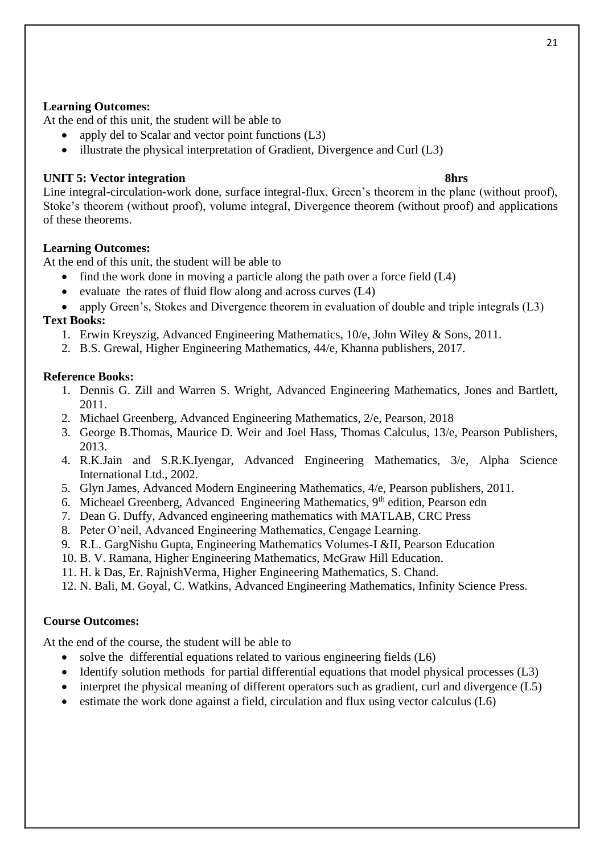### **Learning Outcomes:**

At the end of this unit, the student will be able to

- apply del to Scalar and vector point functions (L3)
- illustrate the physical interpretation of Gradient, Divergence and Curl (L3)

# **UNIT 5: Vector integration 8hrs**

Line integral-circulation-work done, surface integral-flux, Green's theorem in the plane (without proof), Stoke's theorem (without proof), volume integral, Divergence theorem (without proof) and applications of these theorems.

### **Learning Outcomes:**

At the end of this unit, the student will be able to

- find the work done in moving a particle along the path over a force field (L4)
- evaluate the rates of fluid flow along and across curves (L4)
- apply Green's, Stokes and Divergence theorem in evaluation of double and triple integrals (L3) **Text Books:**
	- 1. Erwin Kreyszig, Advanced Engineering Mathematics, 10/e, John Wiley & Sons, 2011.
	- 2. B.S. Grewal, Higher Engineering Mathematics, 44/e, Khanna publishers, 2017.

### **Reference Books:**

- 1. Dennis G. Zill and Warren S. Wright, Advanced Engineering Mathematics, Jones and Bartlett, 2011.
- 2. Michael Greenberg, Advanced Engineering Mathematics, 2/e, Pearson, 2018
- 3. George B.Thomas, Maurice D. Weir and Joel Hass, Thomas Calculus, 13/e, Pearson Publishers, 2013.
- 4. R.K.Jain and S.R.K.Iyengar, Advanced Engineering Mathematics, 3/e, Alpha Science International Ltd., 2002.
- 5. Glyn James, Advanced Modern Engineering Mathematics, 4/e, Pearson publishers, 2011.
- 6. Micheael Greenberg, Advanced Engineering Mathematics, 9<sup>th</sup> edition, Pearson edn
- 7. Dean G. Duffy, Advanced engineering mathematics with MATLAB, CRC Press
- 8. Peter O'neil, Advanced Engineering Mathematics, Cengage Learning.
- 9. R.L. GargNishu Gupta, Engineering Mathematics Volumes-I &II, Pearson Education
- 10. B. V. Ramana, Higher Engineering Mathematics, McGraw Hill Education.
- 11. H. k Das, Er. RajnishVerma, Higher Engineering Mathematics, S. Chand.
- 12. N. Bali, M. Goyal, C. Watkins, Advanced Engineering Mathematics, Infinity Science Press.

#### **Course Outcomes:**

At the end of the course, the student will be able to

- solve the differential equations related to various engineering fields (L6)
- Identify solution methods for partial differential equations that model physical processes (L3)
- interpret the physical meaning of different operators such as gradient, curl and divergence (L5)
- estimate the work done against a field, circulation and flux using vector calculus (L6)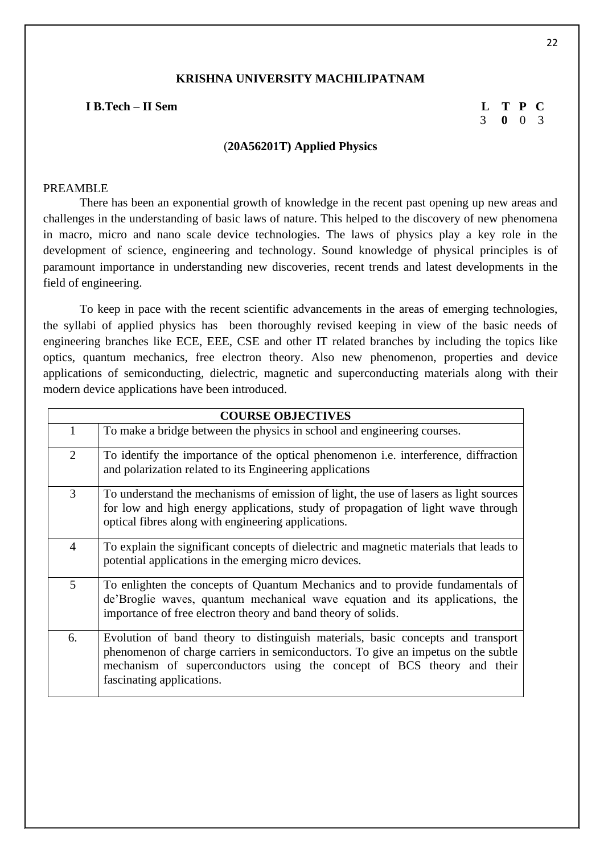#### **I B.Tech – II Sem L T P C**

# 3 **0** 0 3

#### (**20A56201T) Applied Physics**

#### PREAMBLE

There has been an exponential growth of knowledge in the recent past opening up new areas and challenges in the understanding of basic laws of nature. This helped to the discovery of new phenomena in macro, micro and nano scale device technologies. The laws of physics play a key role in the development of science, engineering and technology. Sound knowledge of physical principles is of paramount importance in understanding new discoveries, recent trends and latest developments in the field of engineering.

To keep in pace with the recent scientific advancements in the areas of emerging technologies, the syllabi of applied physics has been thoroughly revised keeping in view of the basic needs of engineering branches like ECE, EEE, CSE and other IT related branches by including the topics like optics, quantum mechanics, free electron theory. Also new phenomenon, properties and device applications of semiconducting, dielectric, magnetic and superconducting materials along with their modern device applications have been introduced.

| <b>COURSE OBJECTIVES</b> |                                                                                                                                                                                                                                                                             |  |
|--------------------------|-----------------------------------------------------------------------------------------------------------------------------------------------------------------------------------------------------------------------------------------------------------------------------|--|
|                          | To make a bridge between the physics in school and engineering courses.                                                                                                                                                                                                     |  |
| 2                        | To identify the importance of the optical phenomenon i.e. interference, diffraction<br>and polarization related to its Engineering applications                                                                                                                             |  |
| 3                        | To understand the mechanisms of emission of light, the use of lasers as light sources<br>for low and high energy applications, study of propagation of light wave through<br>optical fibres along with engineering applications.                                            |  |
| $\overline{4}$           | To explain the significant concepts of dielectric and magnetic materials that leads to<br>potential applications in the emerging micro devices.                                                                                                                             |  |
| 5                        | To enlighten the concepts of Quantum Mechanics and to provide fundamentals of<br>de'Broglie waves, quantum mechanical wave equation and its applications, the<br>importance of free electron theory and band theory of solids.                                              |  |
| 6.                       | Evolution of band theory to distinguish materials, basic concepts and transport<br>phenomenon of charge carriers in semiconductors. To give an impetus on the subtle<br>mechanism of superconductors using the concept of BCS theory and their<br>fascinating applications. |  |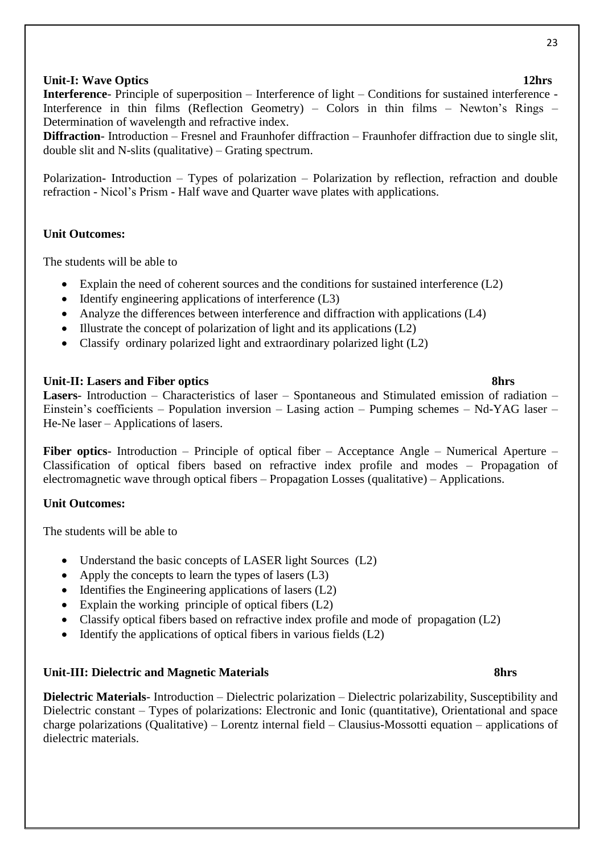# **Unit-I:** Wave Optics 12hrs

**Interference**- Principle of superposition – Interference of light – Conditions for sustained interference -Interference in thin films (Reflection Geometry) – Colors in thin films – Newton's Rings – Determination of wavelength and refractive index.

**Diffraction**- Introduction – Fresnel and Fraunhofer diffraction – Fraunhofer diffraction due to single slit, double slit and N-slits (qualitative) – Grating spectrum.

Polarization- Introduction – Types of polarization – Polarization by reflection, refraction and double refraction - Nicol's Prism - Half wave and Quarter wave plates with applications.

### **Unit Outcomes:**

The students will be able to

- Explain the need of coherent sources and the conditions for sustained interference (L2)
- Identify engineering applications of interference (L3)
- Analyze the differences between interference and diffraction with applications (L4)
- Illustrate the concept of polarization of light and its applications (L2)
- Classify ordinary polarized light and extraordinary polarized light (L2)

### **Unit-II:** Lasers and Fiber optics 8hrs

**Lasers**- Introduction – Characteristics of laser – Spontaneous and Stimulated emission of radiation – Einstein's coefficients – Population inversion – Lasing action – Pumping schemes – Nd-YAG laser – He-Ne laser – Applications of lasers.

**Fiber optics**- Introduction – Principle of optical fiber – Acceptance Angle – Numerical Aperture – Classification of optical fibers based on refractive index profile and modes – Propagation of electromagnetic wave through optical fibers – Propagation Losses (qualitative) – Applications.

#### **Unit Outcomes:**

The students will be able to

- Understand the basic concepts of LASER light Sources (L2)
- Apply the concepts to learn the types of lasers (L3)
- Identifies the Engineering applications of lasers (L2)
- Explain the working principle of optical fibers (L2)
- Classify optical fibers based on refractive index profile and mode of propagation (L2)
- Identify the applications of optical fibers in various fields  $(L2)$

#### Unit-III: Dielectric and Magnetic Materials 8hrs

**Dielectric Materials**- Introduction – Dielectric polarization – Dielectric polarizability, Susceptibility and Dielectric constant – Types of polarizations: Electronic and Ionic (quantitative), Orientational and space charge polarizations (Qualitative) – Lorentz internal field – Clausius-Mossotti equation – applications of dielectric materials.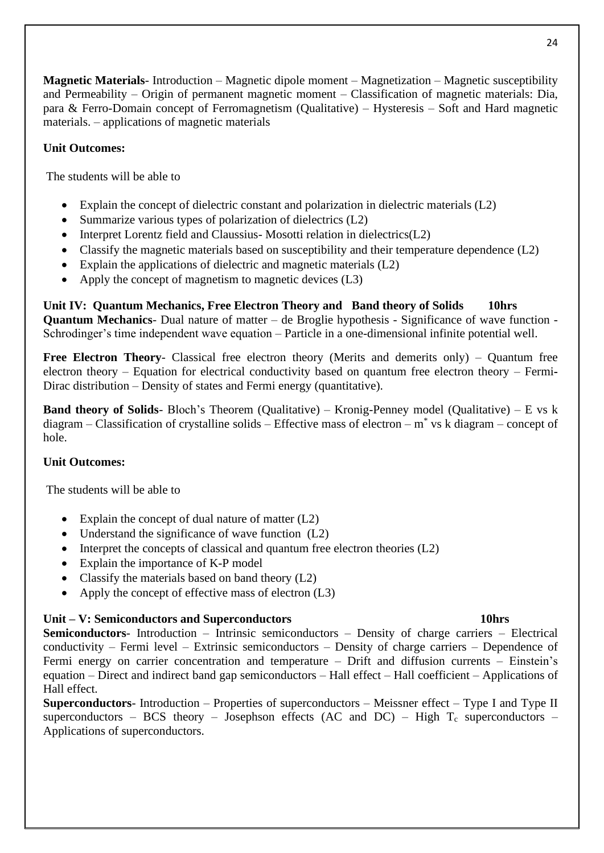**Magnetic Materials**- Introduction – Magnetic dipole moment – Magnetization – Magnetic susceptibility and Permeability – Origin of permanent magnetic moment – Classification of magnetic materials: Dia, para & Ferro-Domain concept of Ferromagnetism (Qualitative) – Hysteresis – Soft and Hard magnetic materials. – applications of magnetic materials

### **Unit Outcomes:**

The students will be able to

- Explain the concept of dielectric constant and polarization in dielectric materials (L2)
- Summarize various types of polarization of dielectrics (L2)
- Interpret Lorentz field and Claussius-Mosotti relation in dielectrics(L2)
- Classify the magnetic materials based on susceptibility and their temperature dependence (L2)
- Explain the applications of dielectric and magnetic materials  $(L2)$
- Apply the concept of magnetism to magnetic devices (L3)

**Unit IV: Quantum Mechanics, Free Electron Theory and Band theory of Solids 10hrs Quantum Mechanics**- Dual nature of matter – de Broglie hypothesis - Significance of wave function - Schrodinger's time independent wave equation – Particle in a one-dimensional infinite potential well.

**Free Electron Theory**- Classical free electron theory (Merits and demerits only) – Quantum free electron theory – Equation for electrical conductivity based on quantum free electron theory – Fermi**-**Dirac distribution – Density of states and Fermi energy (quantitative).

**Band theory of Solids-** Bloch's Theorem (Qualitative) – Kronig-Penney model (Qualitative) – E vs k diagram – Classification of crystalline solids – Effective mass of electron – m\* vs k diagram – concept of hole.

#### **Unit Outcomes:**

The students will be able to

- Explain the concept of dual nature of matter (L2)
- Understand the significance of wave function (L2)
- Interpret the concepts of classical and quantum free electron theories (L2)
- Explain the importance of K-P model
- Classify the materials based on band theory (L2)
- Apply the concept of effective mass of electron (L3)

#### **Unit – V: Semiconductors and Superconductors 10hrs**

**Semiconductors**- Introduction – Intrinsic semiconductors – Density of charge carriers – Electrical conductivity – Fermi level – Extrinsic semiconductors – Density of charge carriers – Dependence of Fermi energy on carrier concentration and temperature – Drift and diffusion currents – Einstein's equation – Direct and indirect band gap semiconductors – Hall effect – Hall coefficient – Applications of Hall effect.

**Superconductors**- Introduction – Properties of superconductors – Meissner effect – Type I and Type II superconductors – BCS theory – Josephson effects (AC and DC) – High  $T_c$  superconductors – Applications of superconductors.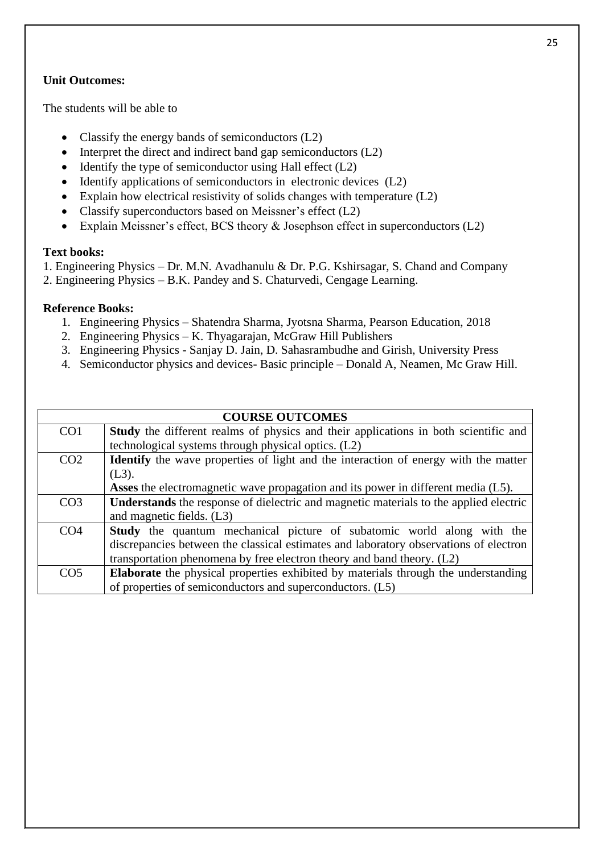# **Unit Outcomes:**

The students will be able to

- Classify the energy bands of semiconductors (L2)
- Interpret the direct and indirect band gap semiconductors (L2)
- Identify the type of semiconductor using Hall effect  $(L2)$
- Identify applications of semiconductors in electronic devices (L2)
- Explain how electrical resistivity of solids changes with temperature (L2)
- Classify superconductors based on Meissner's effect (L2)
- Explain Meissner's effect, BCS theory & Josephson effect in superconductors (L2)

#### **Text books:**

1. Engineering Physics – Dr. M.N. Avadhanulu & Dr. P.G. Kshirsagar, S. Chand and Company

2. Engineering Physics – B.K. Pandey and S. Chaturvedi, Cengage Learning.

### **Reference Books:**

- 1. Engineering Physics Shatendra Sharma, Jyotsna Sharma, Pearson Education, 2018
- 2. Engineering Physics K. Thyagarajan, McGraw Hill Publishers
- 3. Engineering Physics Sanjay D. Jain, D. Sahasrambudhe and Girish, University Press
- 4. Semiconductor physics and devices- Basic principle Donald A, Neamen, Mc Graw Hill.

|                 | <b>COURSE OUTCOMES</b>                                                                       |
|-----------------|----------------------------------------------------------------------------------------------|
| CO <sub>1</sub> | Study the different realms of physics and their applications in both scientific and          |
|                 | technological systems through physical optics. (L2)                                          |
| CO <sub>2</sub> | <b>Identify</b> the wave properties of light and the interaction of energy with the matter   |
|                 | $(L3)$ .                                                                                     |
|                 | <b>Asses</b> the electromagnetic wave propagation and its power in different media (L5).     |
| CO <sub>3</sub> | <b>Understands</b> the response of dielectric and magnetic materials to the applied electric |
|                 | and magnetic fields. $(L3)$                                                                  |
| CO <sub>4</sub> | <b>Study</b> the quantum mechanical picture of subatomic world along with the                |
|                 | discrepancies between the classical estimates and laboratory observations of electron        |
|                 | transportation phenomena by free electron theory and band theory. (L2)                       |
| CO <sub>5</sub> | <b>Elaborate</b> the physical properties exhibited by materials through the understanding    |
|                 | of properties of semiconductors and superconductors. (L5)                                    |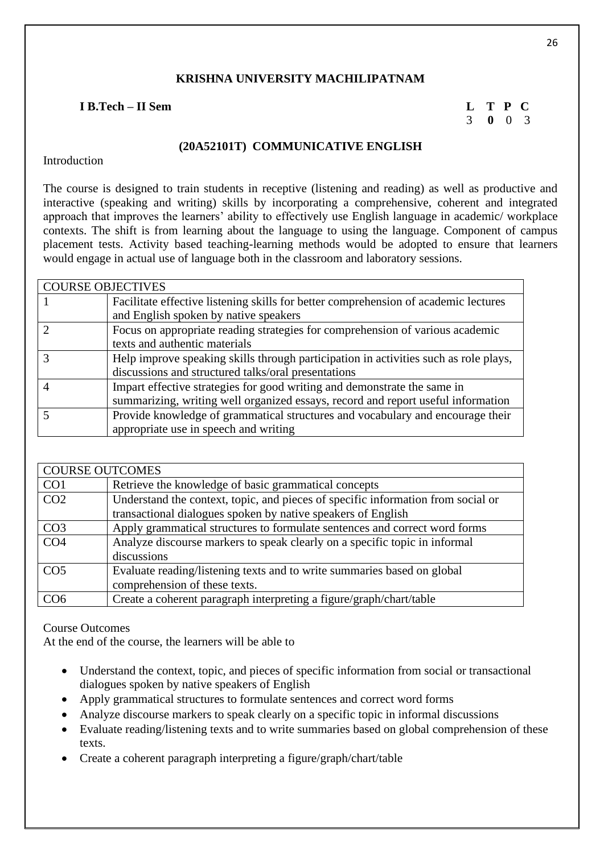### **I B.Tech – II Sem L T P C**

3 **0** 0 3

#### **(20A52101T) COMMUNICATIVE ENGLISH**

Introduction

The course is designed to train students in receptive (listening and reading) as well as productive and interactive (speaking and writing) skills by incorporating a comprehensive, coherent and integrated approach that improves the learners' ability to effectively use English language in academic/ workplace contexts. The shift is from learning about the language to using the language. Component of campus placement tests. Activity based teaching-learning methods would be adopted to ensure that learners would engage in actual use of language both in the classroom and laboratory sessions.

| <b>COURSE OBJECTIVES</b> |                                                                                      |
|--------------------------|--------------------------------------------------------------------------------------|
|                          | Facilitate effective listening skills for better comprehension of academic lectures  |
|                          | and English spoken by native speakers                                                |
|                          | Focus on appropriate reading strategies for comprehension of various academic        |
|                          | texts and authentic materials                                                        |
|                          | Help improve speaking skills through participation in activities such as role plays, |
|                          | discussions and structured talks/oral presentations                                  |
|                          | Impart effective strategies for good writing and demonstrate the same in             |
|                          | summarizing, writing well organized essays, record and report useful information     |
|                          | Provide knowledge of grammatical structures and vocabulary and encourage their       |
|                          | appropriate use in speech and writing                                                |

| <b>COURSE OUTCOMES</b> |                                                                                  |  |
|------------------------|----------------------------------------------------------------------------------|--|
| CO <sub>1</sub>        | Retrieve the knowledge of basic grammatical concepts                             |  |
| CO <sub>2</sub>        | Understand the context, topic, and pieces of specific information from social or |  |
|                        | transactional dialogues spoken by native speakers of English                     |  |
| CO <sub>3</sub>        | Apply grammatical structures to formulate sentences and correct word forms       |  |
| CO <sub>4</sub>        | Analyze discourse markers to speak clearly on a specific topic in informal       |  |
|                        | discussions                                                                      |  |
| CO <sub>5</sub>        | Evaluate reading/listening texts and to write summaries based on global          |  |
|                        | comprehension of these texts.                                                    |  |
| CO <sub>6</sub>        | Create a coherent paragraph interpreting a figure/graph/chart/table              |  |

# Course Outcomes

At the end of the course, the learners will be able to

- Understand the context, topic, and pieces of specific information from social or transactional dialogues spoken by native speakers of English
- Apply grammatical structures to formulate sentences and correct word forms
- Analyze discourse markers to speak clearly on a specific topic in informal discussions
- Evaluate reading/listening texts and to write summaries based on global comprehension of these texts.
- Create a coherent paragraph interpreting a figure/graph/chart/table

26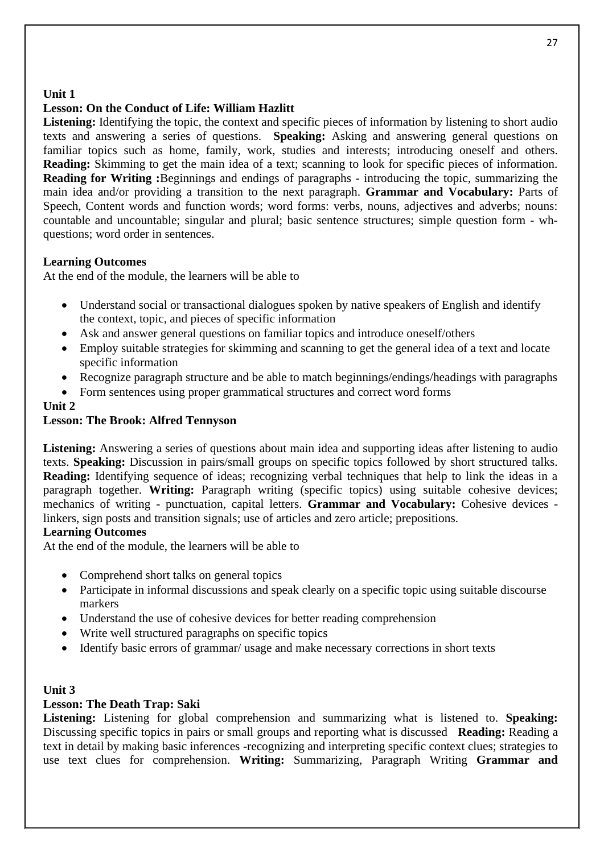# **Unit 1**

# **Lesson: On the Conduct of Life: William Hazlitt**

Listening: Identifying the topic, the context and specific pieces of information by listening to short audio texts and answering a series of questions. **Speaking:** Asking and answering general questions on familiar topics such as home, family, work, studies and interests; introducing oneself and others. **Reading:** Skimming to get the main idea of a text; scanning to look for specific pieces of information. **Reading for Writing :**Beginnings and endings of paragraphs - introducing the topic, summarizing the main idea and/or providing a transition to the next paragraph. **Grammar and Vocabulary:** Parts of Speech, Content words and function words; word forms: verbs, nouns, adjectives and adverbs; nouns: countable and uncountable; singular and plural; basic sentence structures; simple question form - whquestions; word order in sentences.

### **Learning Outcomes**

At the end of the module, the learners will be able to

- Understand social or transactional dialogues spoken by native speakers of English and identify the context, topic, and pieces of specific information
- Ask and answer general questions on familiar topics and introduce oneself/others
- Employ suitable strategies for skimming and scanning to get the general idea of a text and locate specific information
- Recognize paragraph structure and be able to match beginnings/endings/headings with paragraphs
- Form sentences using proper grammatical structures and correct word forms

#### **Unit 2**

### **Lesson: The Brook: Alfred Tennyson**

Listening: Answering a series of questions about main idea and supporting ideas after listening to audio texts. **Speaking:** Discussion in pairs/small groups on specific topics followed by short structured talks. **Reading:** Identifying sequence of ideas; recognizing verbal techniques that help to link the ideas in a paragraph together. **Writing:** Paragraph writing (specific topics) using suitable cohesive devices; mechanics of writing - punctuation, capital letters. **Grammar and Vocabulary:** Cohesive devices linkers, sign posts and transition signals; use of articles and zero article; prepositions.

#### **Learning Outcomes**

At the end of the module, the learners will be able to

- Comprehend short talks on general topics
- Participate in informal discussions and speak clearly on a specific topic using suitable discourse markers
- Understand the use of cohesive devices for better reading comprehension
- Write well structured paragraphs on specific topics
- Identify basic errors of grammar/ usage and make necessary corrections in short texts

#### **Unit 3**

# **Lesson: The Death Trap: Saki**

**Listening:** Listening for global comprehension and summarizing what is listened to. **Speaking:** Discussing specific topics in pairs or small groups and reporting what is discussed **Reading:** Reading a text in detail by making basic inferences -recognizing and interpreting specific context clues; strategies to use text clues for comprehension. **Writing:** Summarizing, Paragraph Writing **Grammar and**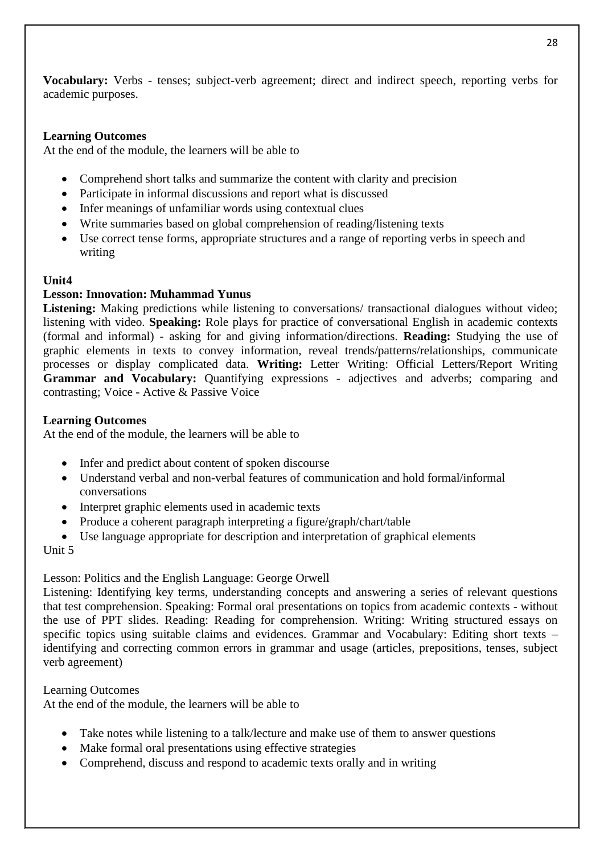**Vocabulary:** Verbs - tenses; subject-verb agreement; direct and indirect speech, reporting verbs for academic purposes.

# **Learning Outcomes**

At the end of the module, the learners will be able to

- Comprehend short talks and summarize the content with clarity and precision
- Participate in informal discussions and report what is discussed
- Infer meanings of unfamiliar words using contextual clues
- Write summaries based on global comprehension of reading/listening texts
- Use correct tense forms, appropriate structures and a range of reporting verbs in speech and writing

# **Unit4**

# **Lesson: Innovation: Muhammad Yunus**

Listening: Making predictions while listening to conversations/ transactional dialogues without video; listening with video. **Speaking:** Role plays for practice of conversational English in academic contexts (formal and informal) - asking for and giving information/directions. **Reading:** Studying the use of graphic elements in texts to convey information, reveal trends/patterns/relationships, communicate processes or display complicated data. **Writing:** Letter Writing: Official Letters/Report Writing **Grammar and Vocabulary:** Quantifying expressions - adjectives and adverbs; comparing and contrasting; Voice - Active & Passive Voice

# **Learning Outcomes**

At the end of the module, the learners will be able to

- Infer and predict about content of spoken discourse
- Understand verbal and non-verbal features of communication and hold formal/informal conversations
- Interpret graphic elements used in academic texts
- Produce a coherent paragraph interpreting a figure/graph/chart/table
- Use language appropriate for description and interpretation of graphical elements

Unit 5

#### Lesson: Politics and the English Language: George Orwell

Listening: Identifying key terms, understanding concepts and answering a series of relevant questions that test comprehension. Speaking: Formal oral presentations on topics from academic contexts - without the use of PPT slides. Reading: Reading for comprehension. Writing: Writing structured essays on specific topics using suitable claims and evidences. Grammar and Vocabulary: Editing short texts – identifying and correcting common errors in grammar and usage (articles, prepositions, tenses, subject verb agreement)

Learning Outcomes

At the end of the module, the learners will be able to

- Take notes while listening to a talk/lecture and make use of them to answer questions
- Make formal oral presentations using effective strategies
- Comprehend, discuss and respond to academic texts orally and in writing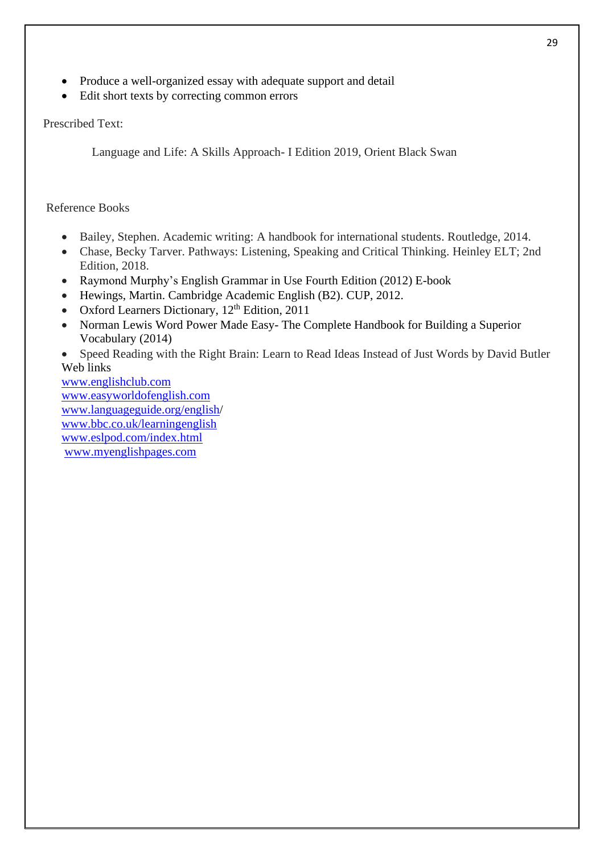- Produce a well-organized essay with adequate support and detail
- Edit short texts by correcting common errors

# Prescribed Text:

Language and Life: A Skills Approach- I Edition 2019, Orient Black Swan

# Reference Books

- Bailey, Stephen. Academic writing: A handbook for international students. Routledge, 2014.
- Chase, Becky Tarver. Pathways: Listening, Speaking and Critical Thinking. Heinley ELT; 2nd Edition, 2018.
- Raymond Murphy's English Grammar in Use Fourth Edition (2012) E-book
- Hewings, Martin. Cambridge Academic English (B2). CUP, 2012.
- Oxford Learners Dictionary,  $12<sup>th</sup>$  Edition, 2011
- Norman Lewis Word Power Made Easy- The Complete Handbook for Building a Superior Vocabulary (2014)

• Speed Reading with the Right Brain: Learn to Read Ideas Instead of Just Words by David Butler Web links

[www.englishclub.com](http://www.englishclub.com/) [www.easyworldofenglish.com](http://www.easyworldofenglish.com/) [www.languageguide.org/english/](http://www.languageguide.org/english) [www.bbc.co.uk/learningenglish](http://www.bbc.co.uk/learningenglish) [www.eslpod.com/index.html](http://www.eslpod.com/index.html) [www.myenglishpages.com](http://www.myenglishpages.com/)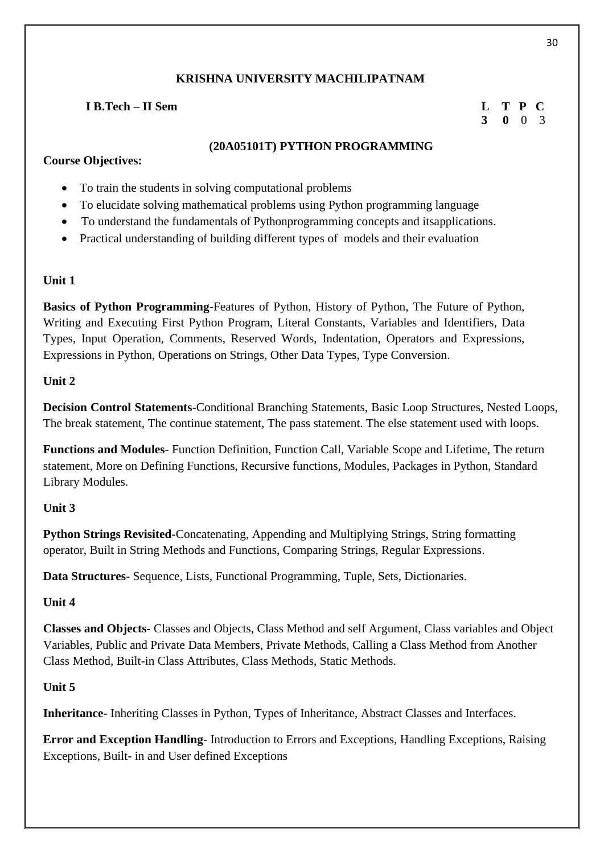# **I B.Tech – II Sem L T P C**

# **3 0** 0 3

### **(20A05101T) PYTHON PROGRAMMING**

# **Course Objectives:**

- To train the students in solving computational problems
- To elucidate solving mathematical problems using Python programming language
- To understand the fundamentals of Pythonprogramming concepts and itsapplications.
- Practical understanding of building different types of models and their evaluation

### **Unit 1**

**Basics of Python Programming**-Features of Python, History of Python, The Future of Python, Writing and Executing First Python Program, Literal Constants, Variables and Identifiers, Data Types, Input Operation, Comments, Reserved Words, Indentation, Operators and Expressions, Expressions in Python, Operations on Strings, Other Data Types, Type Conversion.

# **Unit 2**

**Decision Control Statements**-Conditional Branching Statements, Basic Loop Structures, Nested Loops, The break statement, The continue statement, The pass statement. The else statement used with loops.

**Functions and Modules**- Function Definition, Function Call, Variable Scope and Lifetime, The return statement, More on Defining Functions, Recursive functions, Modules, Packages in Python, Standard Library Modules.

# **Unit 3**

**Python Strings Revisited-Concatenating, Appending and Multiplying Strings, String formatting** operator, Built in String Methods and Functions, Comparing Strings, Regular Expressions.

**Data Structures**- Sequence, Lists, Functional Programming, Tuple, Sets, Dictionaries.

# **Unit 4**

**Classes and Objects-** Classes and Objects, Class Method and self Argument, Class variables and Object Variables, Public and Private Data Members, Private Methods, Calling a Class Method from Another Class Method, Built-in Class Attributes, Class Methods, Static Methods.

# **Unit 5**

**Inheritance**- Inheriting Classes in Python, Types of Inheritance, Abstract Classes and Interfaces.

**Error and Exception Handling**- Introduction to Errors and Exceptions, Handling Exceptions, Raising Exceptions, Built- in and User defined Exceptions

30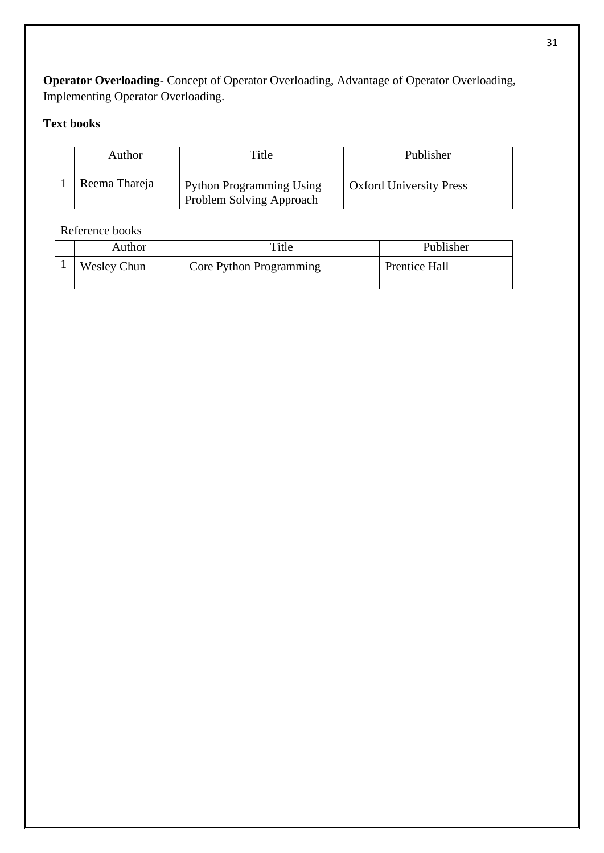**Operator Overloading**- Concept of Operator Overloading, Advantage of Operator Overloading, Implementing Operator Overloading.

# **Text books**

| Author        | Title                                                       | Publisher                      |
|---------------|-------------------------------------------------------------|--------------------------------|
| Reema Thareja | <b>Python Programming Using</b><br>Problem Solving Approach | <b>Oxford University Press</b> |

# Reference books

| Author             | Title                   | Publisher     |
|--------------------|-------------------------|---------------|
| <b>Wesley Chun</b> | Core Python Programming | Prentice Hall |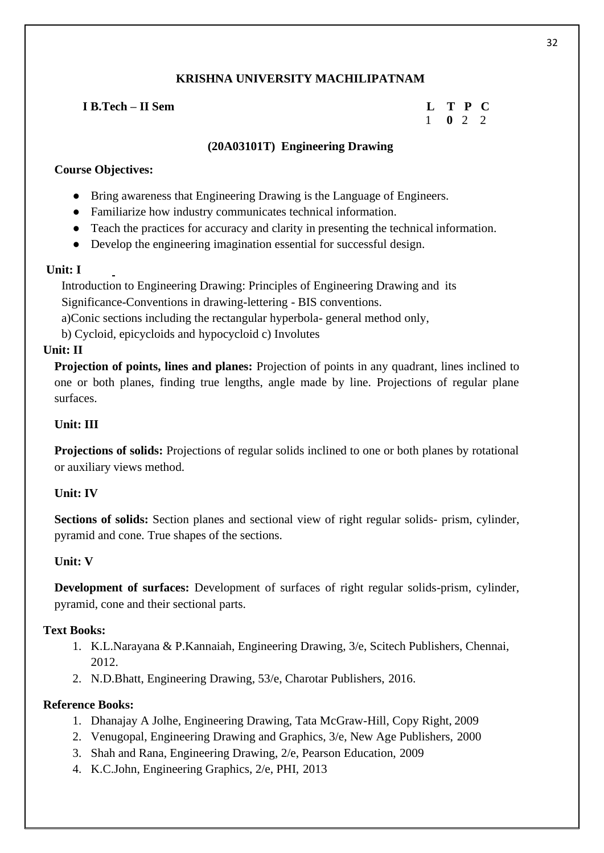# **I B.Tech – II Sem**

|   | P       | $\blacksquare$ |
|---|---------|----------------|
| o | $\cdot$ | ΄)             |

# **(20A03101T) Engineering Drawing**

# **Course Objectives:**

- Bring awareness that Engineering Drawing is the Language of Engineers.
- Familiarize how industry communicates technical information.
- Teach the practices for accuracy and clarity in presenting the technical information.
- Develop the engineering imagination essential for successful design.

#### **Unit: I**

 Introduction to Engineering Drawing: Principles of Engineering Drawing and its Significance-Conventions in drawing-lettering - BIS conventions.

a)Conic sections including the rectangular hyperbola- general method only,

b) Cycloid, epicycloids and hypocycloid c) Involutes

# **Unit: II**

**Projection of points, lines and planes:** Projection of points in any quadrant, lines inclined to one or both planes, finding true lengths, angle made by line. Projections of regular plane surfaces.

# **Unit: III**

**Projections of solids:** Projections of regular solids inclined to one or both planes by rotational or auxiliary views method.

# **Unit: IV**

**Sections of solids:** Section planes and sectional view of right regular solids- prism, cylinder, pyramid and cone. True shapes of the sections.

# **Unit: V**

**Development of surfaces:** Development of surfaces of right regular solids-prism, cylinder, pyramid, cone and their sectional parts.

#### **Text Books:**

- 1. K.L.Narayana & P.Kannaiah, Engineering Drawing, 3/e, Scitech Publishers, Chennai, 2012.
- 2. N.D.Bhatt, Engineering Drawing, 53/e, Charotar Publishers, 2016.

#### **Reference Books:**

- 1. Dhanajay A Jolhe, Engineering Drawing, Tata McGraw-Hill, Copy Right, 2009
- 2. Venugopal, Engineering Drawing and Graphics, 3/e, New Age Publishers, 2000
- 3. Shah and Rana, Engineering Drawing, 2/e, Pearson Education, 2009
- 4. K.C.John, Engineering Graphics, 2/e, PHI, 2013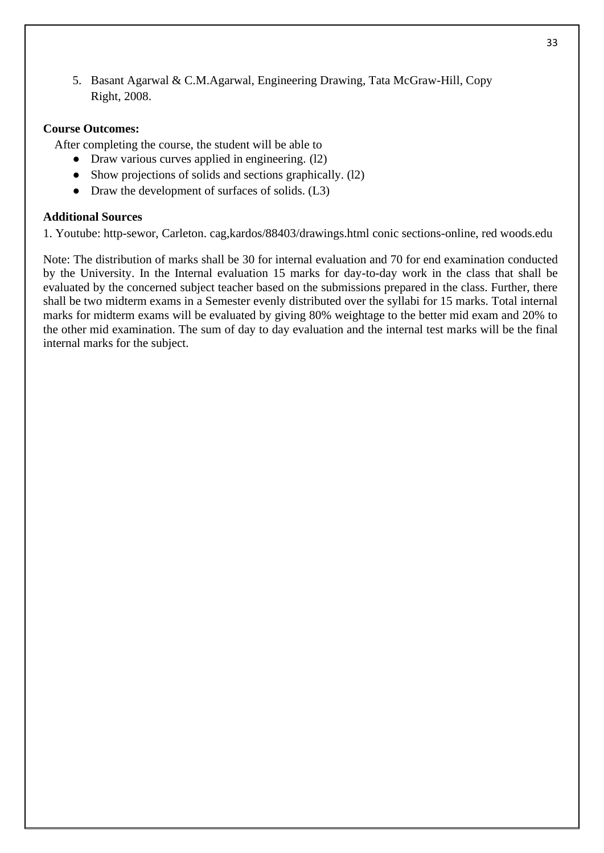5. Basant Agarwal & C.M.Agarwal, Engineering Drawing, Tata McGraw-Hill, Copy Right, 2008.

#### **Course Outcomes:**

After completing the course, the student will be able to

- Draw various curves applied in engineering. (12)
- Show projections of solids and sections graphically. (12)
- Draw the development of surfaces of solids. (L3)

#### **Additional Sources**

1. Youtube: http-sewor, Carleton. cag,kardos/88403/drawings.html conic sections-online, red woods.edu

Note: The distribution of marks shall be 30 for internal evaluation and 70 for end examination conducted by the University. In the Internal evaluation 15 marks for day-to-day work in the class that shall be evaluated by the concerned subject teacher based on the submissions prepared in the class. Further, there shall be two midterm exams in a Semester evenly distributed over the syllabi for 15 marks. Total internal marks for midterm exams will be evaluated by giving 80% weightage to the better mid exam and 20% to the other mid examination. The sum of day to day evaluation and the internal test marks will be the final internal marks for the subject.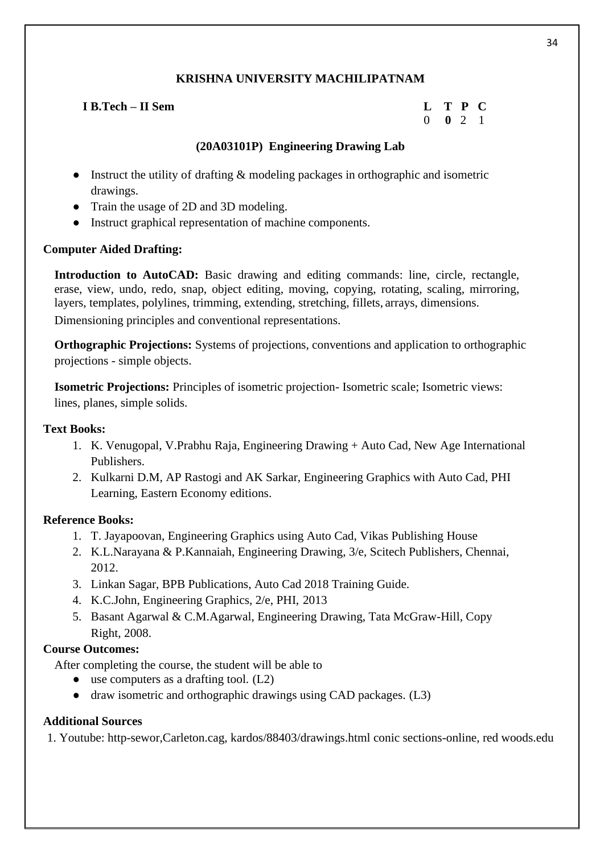# **I B.Tech – II Sem L T P C**

0 **0** 2 1

# **(20A03101P) Engineering Drawing Lab**

- Instruct the utility of drafting & modeling packages in orthographic and isometric drawings.
- Train the usage of 2D and 3D modeling.
- Instruct graphical representation of machine components.

# **Computer Aided Drafting:**

**Introduction to AutoCAD:** Basic drawing and editing commands: line, circle, rectangle, erase, view, undo, redo, snap, object editing, moving, copying, rotating, scaling, mirroring, layers, templates, polylines, trimming, extending, stretching, fillets, arrays, dimensions. Dimensioning principles and conventional representations.

**Orthographic Projections:** Systems of projections, conventions and application to orthographic projections - simple objects.

**Isometric Projections:** Principles of isometric projection- Isometric scale; Isometric views: lines, planes, simple solids.

# **Text Books:**

- 1. K. Venugopal, V.Prabhu Raja, Engineering Drawing + Auto Cad, New Age International Publishers.
- 2. Kulkarni D.M, AP Rastogi and AK Sarkar, Engineering Graphics with Auto Cad, PHI Learning, Eastern Economy editions.

# **Reference Books:**

- 1. T. Jayapoovan, Engineering Graphics using Auto Cad, Vikas Publishing House
- 2. K.L.Narayana & P.Kannaiah, Engineering Drawing, 3/e, Scitech Publishers, Chennai, 2012.
- 3. Linkan Sagar, BPB Publications, Auto Cad 2018 Training Guide.
- 4. K.C.John, Engineering Graphics, 2/e, PHI, 2013
- 5. Basant Agarwal & C.M.Agarwal, Engineering Drawing, Tata McGraw-Hill, Copy Right, 2008.

# **Course Outcomes:**

After completing the course, the student will be able to

- use computers as a drafting tool. (L2)
- draw isometric and orthographic drawings using CAD packages. (L3)

# **Additional Sources**

1. Youtube: http-sewor,Carleton.cag, kardos/88403/drawings.html conic sections-online, red woods.edu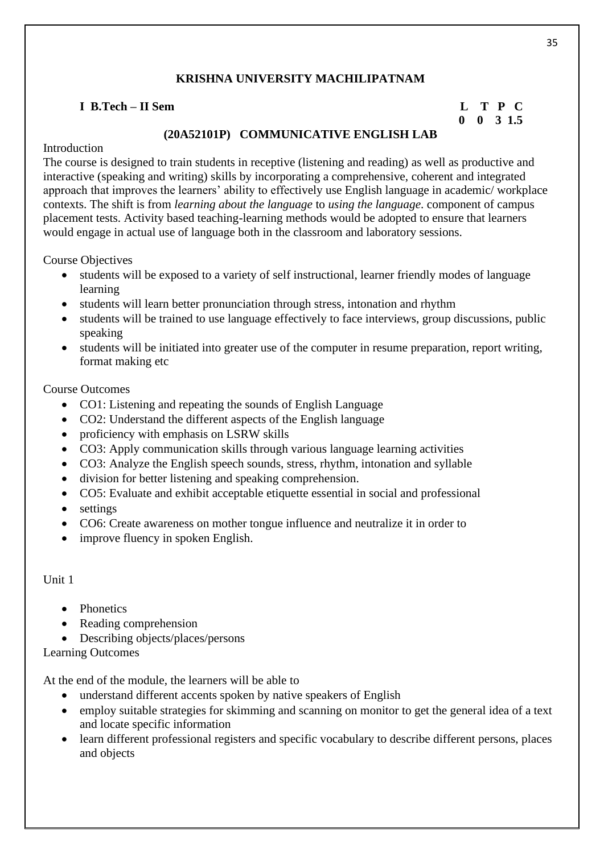# **I B.Tech – II Sem L T P C**

# **0 0 3 1.5**

# **(20A52101P) COMMUNICATIVE ENGLISH LAB**

# Introduction

The course is designed to train students in receptive (listening and reading) as well as productive and interactive (speaking and writing) skills by incorporating a comprehensive, coherent and integrated approach that improves the learners' ability to effectively use English language in academic/ workplace contexts. The shift is from *learning about the language* to *using the language*. component of campus placement tests. Activity based teaching-learning methods would be adopted to ensure that learners would engage in actual use of language both in the classroom and laboratory sessions.

Course Objectives

- students will be exposed to a variety of self instructional, learner friendly modes of language learning
- students will learn better pronunciation through stress, intonation and rhythm
- students will be trained to use language effectively to face interviews, group discussions, public speaking
- students will be initiated into greater use of the computer in resume preparation, report writing, format making etc

# Course Outcomes

- CO1: Listening and repeating the sounds of English Language
- CO2: Understand the different aspects of the English language
- proficiency with emphasis on LSRW skills
- CO3: Apply communication skills through various language learning activities
- CO3: Analyze the English speech sounds, stress, rhythm, intonation and syllable
- division for better listening and speaking comprehension.
- CO5: Evaluate and exhibit acceptable etiquette essential in social and professional
- settings
- CO6: Create awareness on mother tongue influence and neutralize it in order to
- improve fluency in spoken English.

# Unit 1

- Phonetics
- Reading comprehension
- Describing objects/places/persons

Learning Outcomes

At the end of the module, the learners will be able to

- understand different accents spoken by native speakers of English
- employ suitable strategies for skimming and scanning on monitor to get the general idea of a text and locate specific information
- learn different professional registers and specific vocabulary to describe different persons, places and objects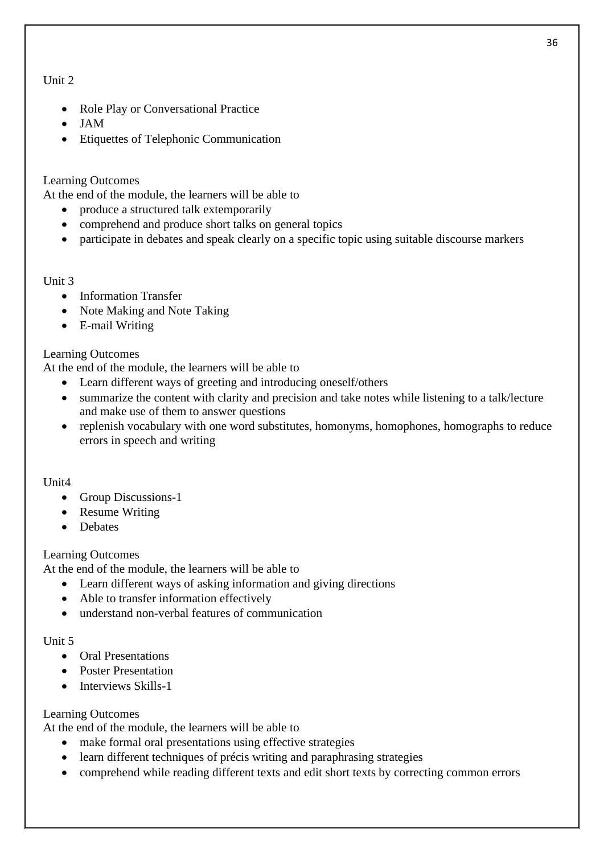- Role Play or Conversational Practice
- JAM
- Etiquettes of Telephonic Communication

# Learning Outcomes

At the end of the module, the learners will be able to

- produce a structured talk extemporarily
- comprehend and produce short talks on general topics
- participate in debates and speak clearly on a specific topic using suitable discourse markers

### Unit 3

- Information Transfer
- Note Making and Note Taking
- E-mail Writing

# Learning Outcomes

At the end of the module, the learners will be able to

- Learn different ways of greeting and introducing oneself/others
- summarize the content with clarity and precision and take notes while listening to a talk/lecture and make use of them to answer questions
- replenish vocabulary with one word substitutes, homonyms, homophones, homographs to reduce errors in speech and writing

# Unit4

- Group Discussions-1
- Resume Writing
- Debates

# Learning Outcomes

At the end of the module, the learners will be able to

- Learn different ways of asking information and giving directions
- Able to transfer information effectively
- understand non-verbal features of communication

#### Unit 5

- Oral Presentations
- Poster Presentation
- Interviews Skills-1

# Learning Outcomes

At the end of the module, the learners will be able to

- make formal oral presentations using effective strategies
- learn different techniques of précis writing and paraphrasing strategies
- comprehend while reading different texts and edit short texts by correcting common errors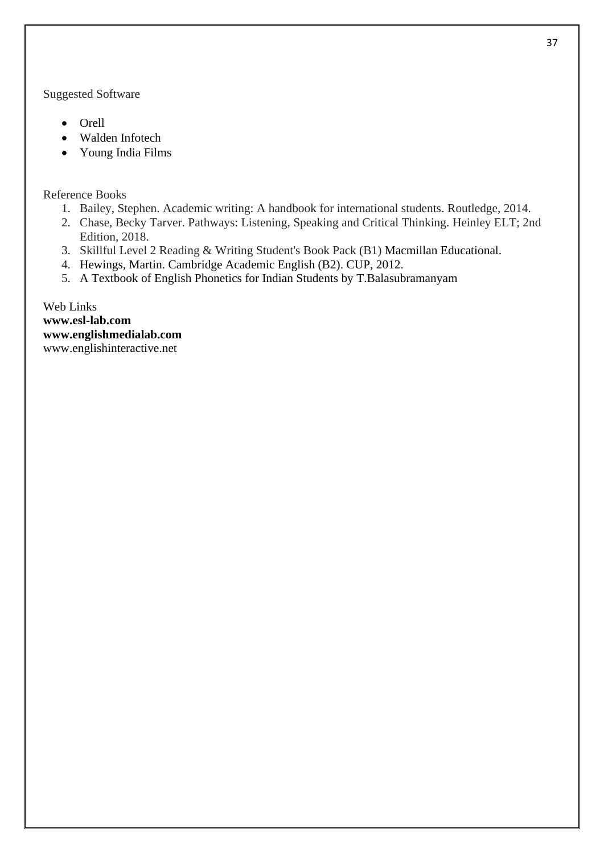Suggested Software

- Orell
- Walden Infotech
- Young India Films

Reference Books

- 1. Bailey, Stephen. Academic writing: A handbook for international students. Routledge, 2014.
- 2. Chase, Becky Tarver. Pathways: Listening, Speaking and Critical Thinking. Heinley ELT; 2nd Edition, 2018.
- 3. Skillful Level 2 Reading & Writing Student's Book Pack (B1) Macmillan Educational.
- 4. Hewings, Martin. Cambridge Academic English (B2). CUP, 2012.
- 5. A Textbook of English Phonetics for Indian Students by T.Balasubramanyam

Web Links **[www.esl-lab.com](http://www.esl-lab.com/) [www.englishmedialab.com](http://www.englishmedialab.com/)** www.englishinteractive.net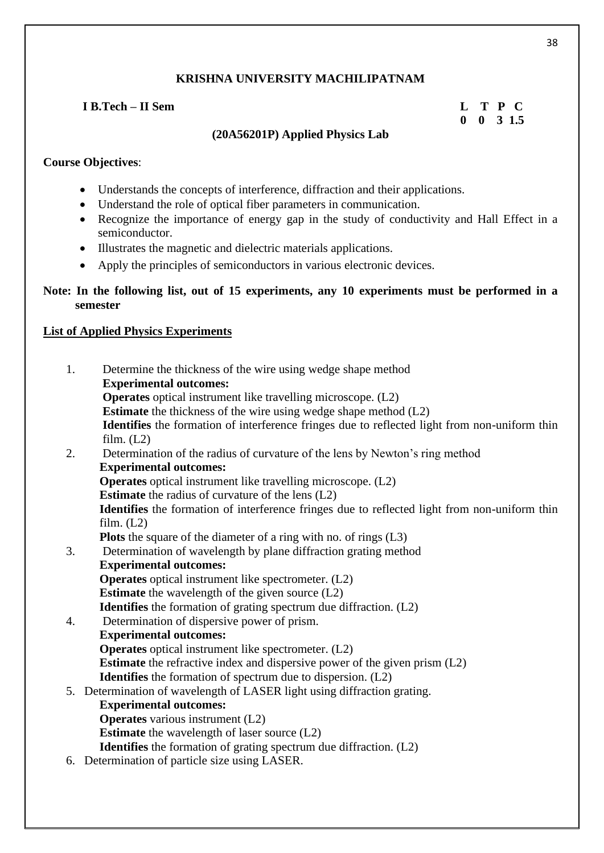| I B.Tech – II Sem |                                 | L T P C              |
|-------------------|---------------------------------|----------------------|
|                   |                                 | $0 \t 0 \t 3 \t 1.5$ |
|                   | (20A56201P) Applied Physics Lab |                      |

# **Course Objectives**:

- Understands the concepts of interference, diffraction and their applications.
- Understand the role of optical fiber parameters in communication.
- Recognize the importance of energy gap in the study of conductivity and Hall Effect in a semiconductor.
- Illustrates the magnetic and dielectric materials applications.
- Apply the principles of semiconductors in various electronic devices.

# **Note: In the following list, out of 15 experiments, any 10 experiments must be performed in a semester**

# **List of Applied Physics Experiments**

| 1. | Determine the thickness of the wire using wedge shape method                                  |
|----|-----------------------------------------------------------------------------------------------|
|    | <b>Experimental outcomes:</b>                                                                 |
|    | <b>Operates</b> optical instrument like travelling microscope. (L2)                           |
|    | <b>Estimate</b> the thickness of the wire using wedge shape method (L2)                       |
|    | Identifies the formation of interference fringes due to reflected light from non-uniform thin |
|    | film. (L2)                                                                                    |
| 2. | Determination of the radius of curvature of the lens by Newton's ring method                  |
|    | <b>Experimental outcomes:</b>                                                                 |
|    | <b>Operates</b> optical instrument like travelling microscope. (L2)                           |
|    | <b>Estimate</b> the radius of curvature of the lens $(L2)$                                    |
|    | Identifies the formation of interference fringes due to reflected light from non-uniform thin |
|    | film. $(L2)$                                                                                  |
|    | <b>Plots</b> the square of the diameter of a ring with no. of rings $(L3)$                    |
| 3. | Determination of wavelength by plane diffraction grating method                               |
|    | <b>Experimental outcomes:</b>                                                                 |
|    | <b>Operates</b> optical instrument like spectrometer. (L2)                                    |
|    | <b>Estimate</b> the wavelength of the given source $(L2)$                                     |
|    | <b>Identifies</b> the formation of grating spectrum due diffraction. (L2)                     |
| 4. | Determination of dispersive power of prism.                                                   |
|    | <b>Experimental outcomes:</b>                                                                 |
|    | <b>Operates</b> optical instrument like spectrometer. (L2)                                    |
|    | <b>Estimate</b> the refractive index and dispersive power of the given prism (L2)             |
|    | <b>Identifies</b> the formation of spectrum due to dispersion. (L2)                           |
|    | 5. Determination of wavelength of LASER light using diffraction grating.                      |
|    | <b>Experimental outcomes:</b><br><b>Operates</b> various instrument (L2)                      |
|    | <b>Estimate</b> the wavelength of laser source (L2)                                           |
|    | <b>Identifies</b> the formation of grating spectrum due diffraction. (L2)                     |
|    | 6. Determination of particle size using LASER.                                                |
|    |                                                                                               |

38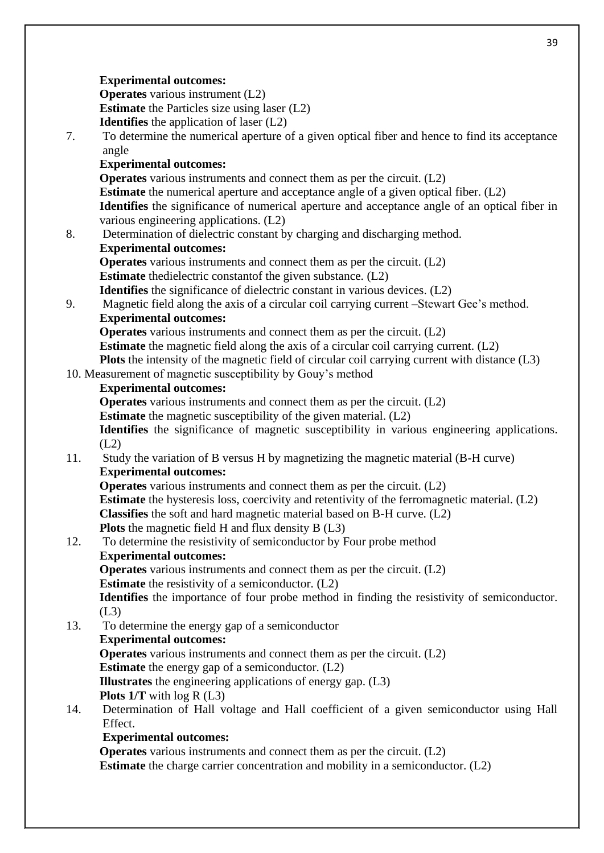#### 39

#### **Experimental outcomes:**

**Operates** various instrument (L2) **Estimate** the Particles size using laser (L2)

**Identifies** the application of laser (L2)

7. To determine the numerical aperture of a given optical fiber and hence to find its acceptance angle

### **Experimental outcomes:**

**Operates** various instruments and connect them as per the circuit. (L2) **Estimate** the numerical aperture and acceptance angle of a given optical fiber. (L2) **Identifies** the significance of numerical aperture and acceptance angle of an optical fiber in various engineering applications. (L2)

8. Determination of dielectric constant by charging and discharging method.

# **Experimental outcomes:**

**Operates** various instruments and connect them as per the circuit. (L2)

**Estimate** thedielectric constantof the given substance. (L2)

**Identifies** the significance of dielectric constant in various devices. (L2)

9. Magnetic field along the axis of a circular coil carrying current –Stewart Gee's method. **Experimental outcomes:**

**Operates** various instruments and connect them as per the circuit. (L2) **Estimate** the magnetic field along the axis of a circular coil carrying current. (L2) **Plots** the intensity of the magnetic field of circular coil carrying current with distance (L3)

10. Measurement of magnetic susceptibility by Gouy's method

### **Experimental outcomes:**

**Operates** various instruments and connect them as per the circuit. (L2)

**Estimate** the magnetic susceptibility of the given material. (L2)

**Identifies** the significance of magnetic susceptibility in various engineering applications. (L2)

11. Study the variation of B versus H by magnetizing the magnetic material (B-H curve) **Experimental outcomes:**

**Operates** various instruments and connect them as per the circuit. (L2) **Estimate** the hysteresis loss, coercivity and retentivity of the ferromagnetic material. (L2) **Classifies** the soft and hard magnetic material based on B-H curve. (L2) **Plots** the magnetic field H and flux density B (L3)

12. To determine the resistivity of semiconductor by Four probe method **Experimental outcomes:**

**Operates** various instruments and connect them as per the circuit. (L2)

**Estimate** the resistivity of a semiconductor. (L2)

**Identifies** the importance of four probe method in finding the resistivity of semiconductor.  $(L3)$ 

13. To determine the energy gap of a semiconductor **Experimental outcomes: Operates** various instruments and connect them as per the circuit. (L2)

**Estimate** the energy gap of a semiconductor. (L2)

**Illustrates** the engineering applications of energy gap. (L3)

**Plots 1/T** with log R (L3)

14. Determination of Hall voltage and Hall coefficient of a given semiconductor using Hall Effect.

# **Experimental outcomes:**

**Operates** various instruments and connect them as per the circuit. (L2) **Estimate** the charge carrier concentration and mobility in a semiconductor. (L2)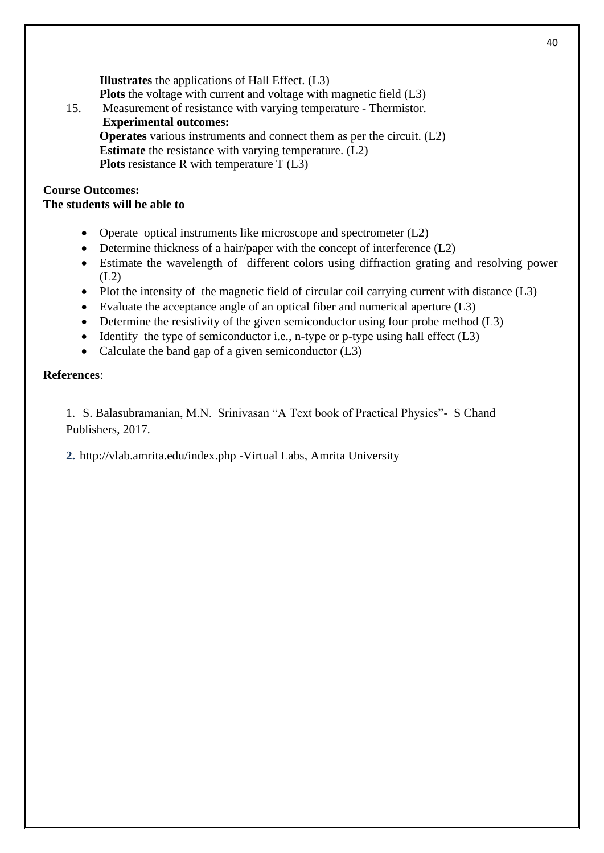**Illustrates** the applications of Hall Effect. (L3) **Plots** the voltage with current and voltage with magnetic field (L3) 15. Measurement of resistance with varying temperature - Thermistor.

**Experimental outcomes:**

**Operates** various instruments and connect them as per the circuit. (L2) **Estimate** the resistance with varying temperature. (L2) **Plots** resistance R with temperature T (L3)

#### **Course Outcomes: The students will be able to**

- Operate optical instruments like microscope and spectrometer (L2)
- Determine thickness of a hair/paper with the concept of interference (L2)
- Estimate the wavelength of different colors using diffraction grating and resolving power (L2)
- Plot the intensity of the magnetic field of circular coil carrying current with distance (L3)
- Evaluate the acceptance angle of an optical fiber and numerical aperture (L3)
- Determine the resistivity of the given semiconductor using four probe method (L3)
- Identify the type of semiconductor i.e., n-type or p-type using hall effect  $(L3)$
- Calculate the band gap of a given semiconductor (L3)

# **References**:

1. S. Balasubramanian, M.N. Srinivasan "A Text book of Practical Physics"- S Chand Publishers, 2017.

**2.** http://vlab.amrita.edu/index.php -Virtual Labs, Amrita University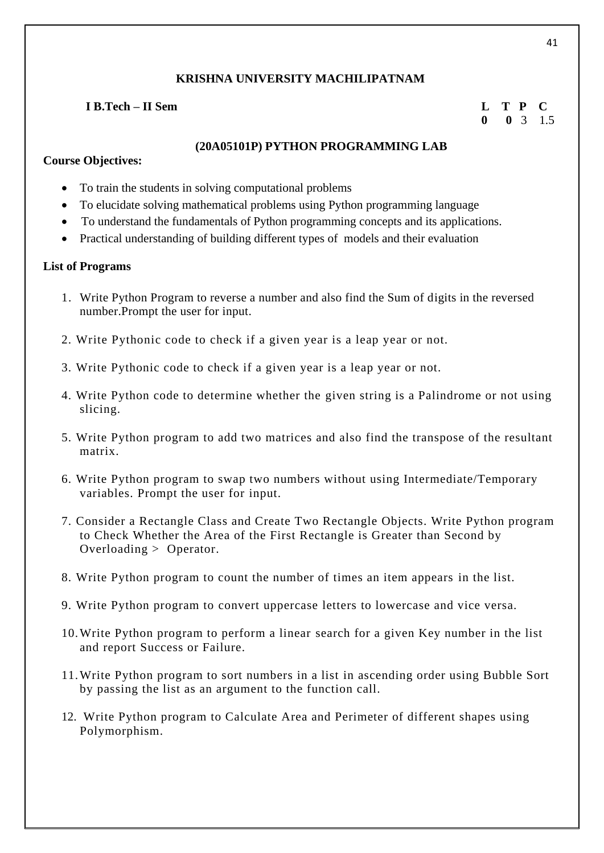# **I B.Tech – II Sem L T P C**

# **0 0** 3 1.5

#### **(20A05101P) PYTHON PROGRAMMING LAB**

#### **Course Objectives:**

- To train the students in solving computational problems
- To elucidate solving mathematical problems using Python programming language
- To understand the fundamentals of Python programming concepts and its applications.
- Practical understanding of building different types of models and their evaluation

### **List of Programs**

- 1. Write Python Program to reverse a number and also find the Sum of digits in the reversed number.Prompt the user for input.
- 2. Write Pythonic code to check if a given year is a leap year or not.
- 3. Write Pythonic code to check if a given year is a leap year or not.
- 4. Write Python code to determine whether the given string is a Palindrome or not using slicing.
- 5. Write Python program to add two matrices and also find the transpose of the resultant matrix.
- 6. Write Python program to swap two numbers without using Intermediate/Temporary variables. Prompt the user for input.
- 7. Consider a Rectangle Class and Create Two Rectangle Objects. Write Python program to Check Whether the Area of the First Rectangle is Greater than Second by Overloading > Operator.
- 8. Write Python program to count the number of times an item appears in the list.
- 9. Write Python program to convert uppercase letters to lowercase and vice versa.
- 10.Write Python program to perform a linear search for a given Key number in the list and report Success or Failure.
- 11.Write Python program to sort numbers in a list in ascending order using Bubble Sort by passing the list as an argument to the function call.
- 12. Write Python program to Calculate Area and Perimeter of different shapes using Polymorphism.

41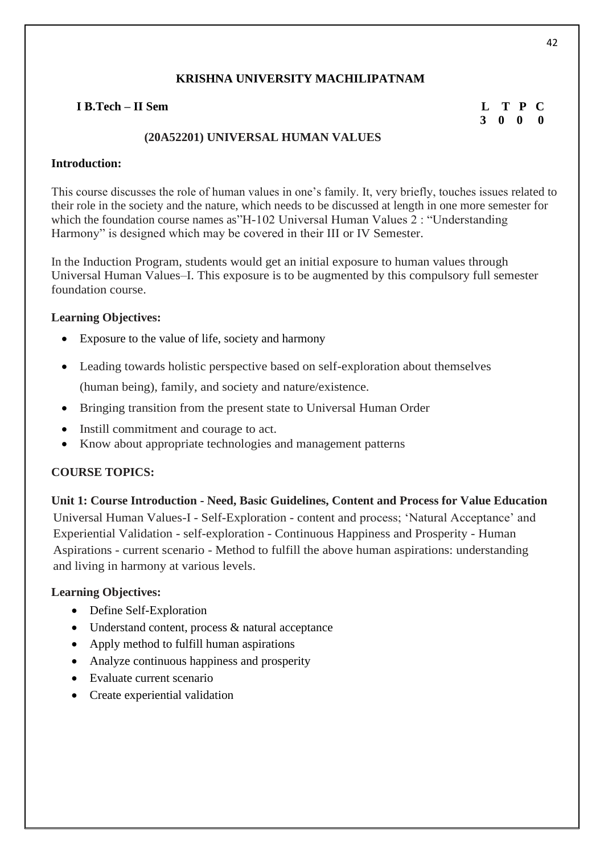# **I B.Tech – II Sem L T P C**

 **3 0 0 0**

# **(20A52201) UNIVERSAL HUMAN VALUES**

### **Introduction:**

This course discusses the role of human values in one's family. It, very briefly, touches issues related to their role in the society and the nature, which needs to be discussed at length in one more semester for which the foundation course names as"H-102 Universal Human Values 2 : "Understanding Harmony" is designed which may be covered in their III or IV Semester.

In the Induction Program, students would get an initial exposure to human values through Universal Human Values–I. This exposure is to be augmented by this compulsory full semester foundation course.

### **Learning Objectives:**

- Exposure to the value of life, society and harmony
- Leading towards holistic perspective based on self-exploration about themselves

(human being), family, and society and nature/existence.

- Bringing transition from the present state to Universal Human Order
- Instill commitment and courage to act.
- Know about appropriate technologies and management patterns

# **COURSE TOPICS:**

**Unit 1: Course Introduction - Need, Basic Guidelines, Content and Process for Value Education** Universal Human Values-I - Self-Exploration - content and process; 'Natural Acceptance' and Experiential Validation - self-exploration - Continuous Happiness and Prosperity - Human Aspirations - current scenario - Method to fulfill the above human aspirations: understanding and living in harmony at various levels.

#### **Learning Objectives:**

- Define Self-Exploration
- Understand content, process & natural acceptance
- Apply method to fulfill human aspirations
- Analyze continuous happiness and prosperity
- Evaluate current scenario
- Create experiential validation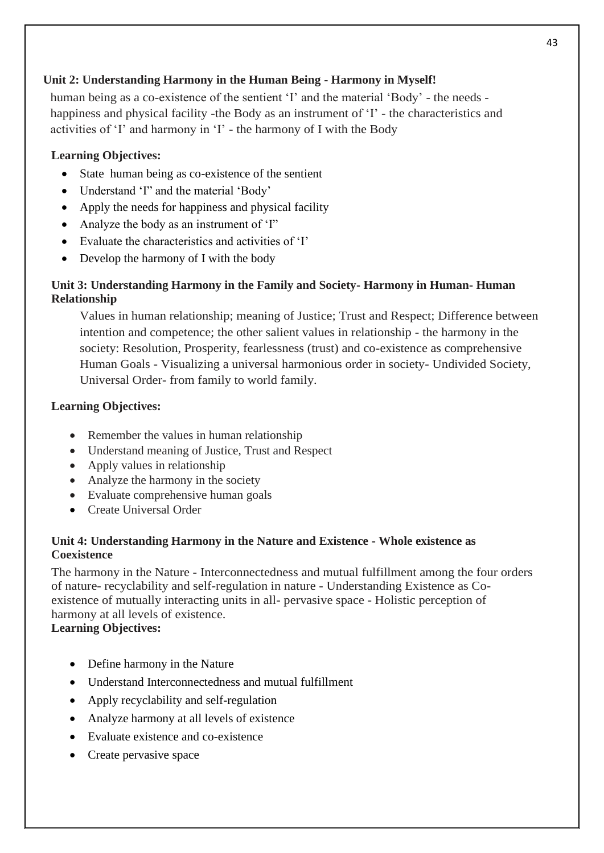# **Unit 2: Understanding Harmony in the Human Being - Harmony in Myself!**

human being as a co-existence of the sentient 'I' and the material 'Body' - the needs happiness and physical facility -the Body as an instrument of 'I' - the characteristics and activities of 'I' and harmony in 'I' - the harmony of I with the Body

# **Learning Objectives:**

- State human being as co-existence of the sentient
- Understand 'I" and the material 'Body'
- Apply the needs for happiness and physical facility
- Analyze the body as an instrument of 'I"
- Evaluate the characteristics and activities of 'I'
- Develop the harmony of I with the body

# **Unit 3: Understanding Harmony in the Family and Society- Harmony in Human- Human Relationship**

Values in human relationship; meaning of Justice; Trust and Respect; Difference between intention and competence; the other salient values in relationship - the harmony in the society: Resolution, Prosperity, fearlessness (trust) and co-existence as comprehensive Human Goals - Visualizing a universal harmonious order in society- Undivided Society, Universal Order- from family to world family.

# **Learning Objectives:**

- Remember the values in human relationship
- Understand meaning of Justice, Trust and Respect
- Apply values in relationship
- Analyze the harmony in the society
- Evaluate comprehensive human goals
- Create Universal Order

# **Unit 4: Understanding Harmony in the Nature and Existence - Whole existence as Coexistence**

The harmony in the Nature - Interconnectedness and mutual fulfillment among the four orders of nature- recyclability and self-regulation in nature - Understanding Existence as Coexistence of mutually interacting units in all- pervasive space - Holistic perception of harmony at all levels of existence.

# **Learning Objectives:**

- Define harmony in the Nature
- Understand Interconnectedness and mutual fulfillment
- Apply recyclability and self-regulation
- Analyze harmony at all levels of existence
- Evaluate existence and co-existence
- Create pervasive space